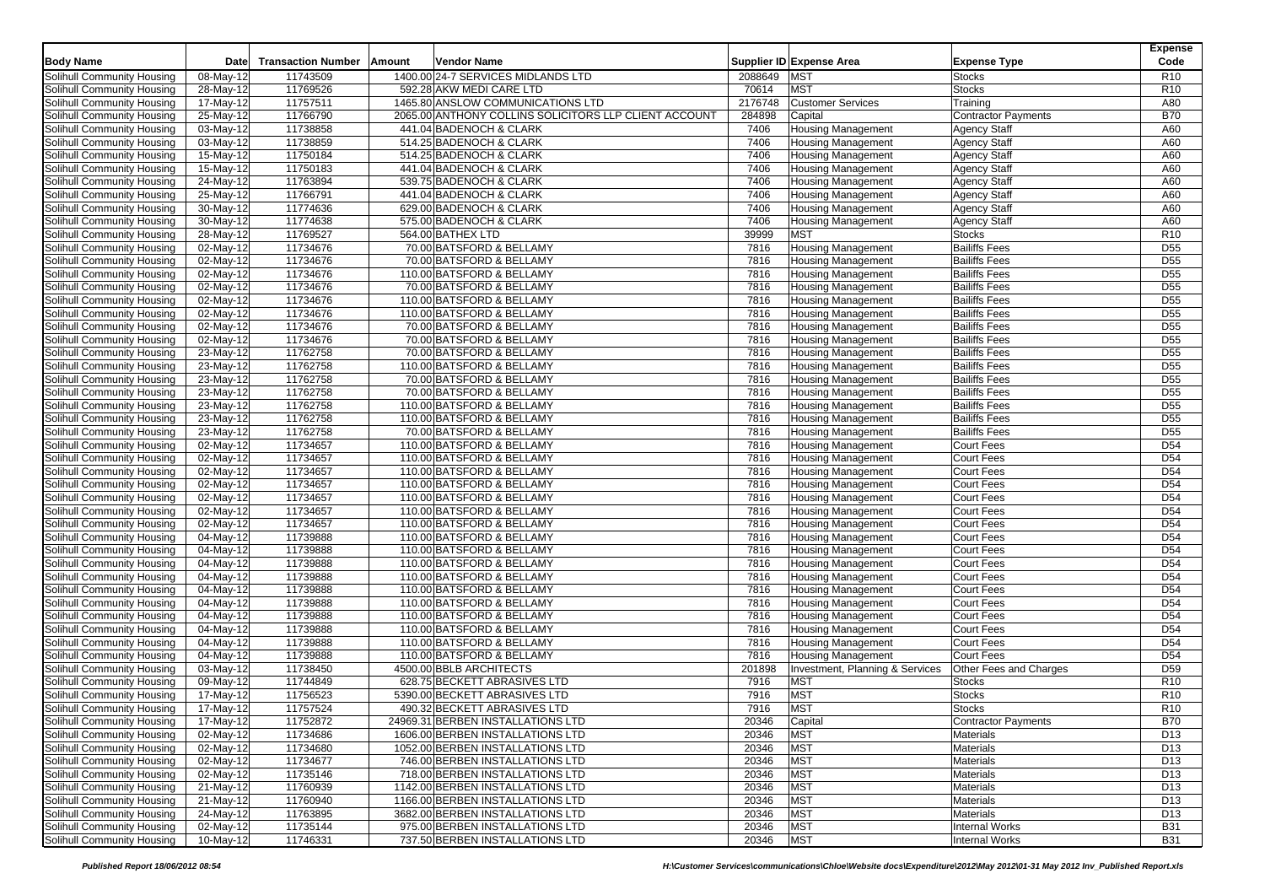|                            |                          |                           |        |                                                        |              |                                 |                                        | <b>Expense</b>                     |
|----------------------------|--------------------------|---------------------------|--------|--------------------------------------------------------|--------------|---------------------------------|----------------------------------------|------------------------------------|
| <b>Body Name</b>           | Date                     | <b>Transaction Number</b> | Amount | Vendor Name                                            |              | Supplier ID Expense Area        | <b>Expense Type</b>                    | Code                               |
| Solihull Community Housing | 08-May-12                | 11743509                  |        | 1400.00 24-7 SERVICES MIDLANDS LTD                     | 2088649      | <b>MST</b>                      | <b>Stocks</b>                          | <b>R10</b>                         |
| Solihull Community Housing | 28-May-12                | 11769526                  |        | 592.28 AKW MEDI CARE LTD                               | 70614        | <b>MST</b>                      | <b>Stocks</b>                          | R <sub>10</sub>                    |
| Solihull Community Housing | 17-May-12                | 11757511                  |        | 1465.80 ANSLOW COMMUNICATIONS LTD                      | 2176748      | <b>Customer Services</b>        | Training                               | A80                                |
| Solihull Community Housing | 25-May-12                | 11766790                  |        | 2065.00 ANTHONY COLLINS SOLICITORS LLP CLIENT ACCOUNT  | 284898       | Capital                         | <b>Contractor Payments</b>             | <b>B70</b>                         |
| Solihull Community Housing | 03-May-12                | 11738858                  |        | 441.04 BADENOCH & CLARK                                | 7406         | <b>Housing Management</b>       | <b>Agency Staff</b>                    | A60                                |
| Solihull Community Housing | 03-May-12                | 11738859                  |        | 514.25 BADENOCH & CLARK                                | 7406         | <b>Housing Management</b>       | <b>Agency Staff</b>                    | A60                                |
| Solihull Community Housing | 15-May-12                | 11750184                  |        | 514.25 BADENOCH & CLARK                                | 7406         | <b>Housing Management</b>       | <b>Agency Staff</b>                    | A60                                |
| Solihull Community Housing | 15-May-12                | 11750183                  |        | 441.04 BADENOCH & CLARK                                | 7406         | <b>Housing Management</b>       | <b>Agency Staff</b>                    | A60                                |
| Solihull Community Housing | 24-May-12                | 11763894                  |        | 539.75 BADENOCH & CLARK                                | 7406         | <b>Housing Management</b>       | <b>Agency Staff</b>                    | A60                                |
| Solihull Community Housing | 25-May-12                | 11766791                  |        | 441.04 BADENOCH & CLARK                                | 7406         | <b>Housing Management</b>       | <b>Agency Staff</b>                    | A60                                |
| Solihull Community Housing | 30-May-12                | 11774636                  |        | 629.00 BADENOCH & CLARK                                | 7406         | <b>Housing Management</b>       | <b>Agency Staff</b>                    | A60                                |
| Solihull Community Housing | 30-May-12                | 11774638                  |        | 575.00 BADENOCH & CLARK                                | 7406         | <b>Housing Management</b>       | <b>Agency Staff</b>                    | A60                                |
| Solihull Community Housing | 28-May-12                | 11769527                  |        | 564.00 BATHEX LTD                                      | 39999        | <b>MST</b>                      | <b>Stocks</b>                          | R <sub>10</sub>                    |
| Solihull Community Housing | 02-May-12                | 11734676                  |        | 70.00 BATSFORD & BELLAMY                               | 7816         | <b>Housing Management</b>       | <b>Bailiffs Fees</b>                   | D <sub>55</sub>                    |
| Solihull Community Housing | 02-May-12                | 11734676                  |        | 70.00 BATSFORD & BELLAMY                               | 7816         | <b>Housing Management</b>       | <b>Bailiffs Fees</b>                   | D <sub>55</sub>                    |
| Solihull Community Housing | 02-May-12                | 11734676                  |        | 110.00 BATSFORD & BELLAMY                              | 7816         | <b>Housing Management</b>       | <b>Bailiffs Fees</b>                   | D <sub>55</sub>                    |
| Solihull Community Housing | 02-May-12                | 11734676                  |        | 70.00 BATSFORD & BELLAMY                               | 7816         | <b>Housing Management</b>       | <b>Bailiffs Fees</b>                   | D <sub>55</sub>                    |
| Solihull Community Housing | 02-May-12                | 11734676                  |        | 110.00 BATSFORD & BELLAMY                              | 7816         | <b>Housing Management</b>       | <b>Bailiffs Fees</b>                   | D <sub>55</sub>                    |
| Solihull Community Housing | 02-May-12                | 11734676                  |        | 110.00 BATSFORD & BELLAMY                              | 7816         | <b>Housing Management</b>       | <b>Bailiffs Fees</b>                   | D <sub>55</sub>                    |
| Solihull Community Housing | 02-May-12                | 11734676                  |        | 70.00 BATSFORD & BELLAMY                               | 7816         | <b>Housing Management</b>       | <b>Bailiffs Fees</b>                   | D <sub>55</sub>                    |
| Solihull Community Housing | 02-May-12                | 11734676                  |        | 70.00 BATSFORD & BELLAMY                               | 7816         | <b>Housing Management</b>       | <b>Bailiffs Fees</b>                   | D <sub>55</sub>                    |
| Solihull Community Housing | 23-May-12                | 11762758                  |        | 70.00 BATSFORD & BELLAMY                               | 7816         | <b>Housing Management</b>       | <b>Bailiffs Fees</b>                   | D <sub>55</sub>                    |
| Solihull Community Housing | 23-May-12                | 11762758                  |        | 110.00 BATSFORD & BELLAMY                              | 7816         | <b>Housing Management</b>       | <b>Bailiffs Fees</b>                   | D <sub>55</sub>                    |
| Solihull Community Housing | 23-May-12                | 11762758                  |        | 70.00 BATSFORD & BELLAMY                               | 7816         | <b>Housing Management</b>       | <b>Bailiffs Fees</b>                   | D <sub>55</sub>                    |
| Solihull Community Housing | 23-May-12                | 11762758                  |        | 70.00 BATSFORD & BELLAMY                               | 7816         | <b>Housing Management</b>       | <b>Bailiffs Fees</b>                   | D <sub>55</sub>                    |
| Solihull Community Housing | $23-May-12$              | 11762758                  |        | 110.00 BATSFORD & BELLAMY                              | 7816         | Housing Management              | <b>Bailiffs Fees</b>                   | D <sub>55</sub>                    |
| Solihull Community Housing | 23-May-12                | 11762758                  |        | 110.00 BATSFORD & BELLAMY                              | 7816         | <b>Housing Management</b>       | <b>Bailiffs Fees</b>                   | D <sub>55</sub>                    |
| Solihull Community Housing | 23-May-12                | 11762758                  |        | 70.00 BATSFORD & BELLAMY                               | 7816         | <b>Housing Management</b>       | <b>Bailiffs Fees</b>                   | D <sub>55</sub>                    |
| Solihull Community Housing | 02-May-12                | 11734657                  |        | 110.00 BATSFORD & BELLAMY                              | 7816         | <b>Housing Management</b>       | <b>Court Fees</b>                      | D <sub>54</sub>                    |
| Solihull Community Housing | 02-May-12                | 11734657                  |        | 110.00 BATSFORD & BELLAMY                              | 7816         | <b>Housing Management</b>       | <b>Court Fees</b>                      | D <sub>54</sub>                    |
| Solihull Community Housing | 02-May-12                | 11734657                  |        | 110.00 BATSFORD & BELLAMY                              | 7816         | <b>Housing Management</b>       | <b>Court Fees</b>                      | D <sub>54</sub>                    |
| Solihull Community Housing | 02-May-12                | 11734657                  |        | 110.00 BATSFORD & BELLAMY                              | 7816         |                                 | <b>Court Fees</b>                      | D <sub>54</sub>                    |
| Solihull Community Housing | 02-May-12                | 11734657                  |        | 110.00 BATSFORD & BELLAMY                              | 7816         | <b>Housing Management</b>       | <b>Court Fees</b>                      | D <sub>54</sub>                    |
| Solihull Community Housing | 02-May-12                | 11734657                  |        | 110.00 BATSFORD & BELLAMY                              | 7816         | <b>Housing Management</b>       |                                        | D <sub>54</sub>                    |
| Solihull Community Housing | 02-May-12                | 11734657                  |        | 110.00 BATSFORD & BELLAMY                              | 7816         | <b>Housing Management</b>       | <b>Court Fees</b><br><b>Court Fees</b> | D <sub>54</sub>                    |
| Solihull Community Housing | 04-May-12                | 11739888                  |        | 110.00 BATSFORD & BELLAMY                              | 7816         | <b>Housing Management</b>       | <b>Court Fees</b>                      | D <sub>54</sub>                    |
|                            |                          | 11739888                  |        |                                                        |              | <b>Housing Management</b>       |                                        |                                    |
| Solihull Community Housing | 04-May-12                |                           |        | 110.00 BATSFORD & BELLAMY                              | 7816<br>7816 | <b>Housing Management</b>       | <b>Court Fees</b><br><b>Court Fees</b> | D <sub>54</sub><br>D <sub>54</sub> |
| Solihull Community Housing | 04-May-12                | 11739888                  |        | 110.00 BATSFORD & BELLAMY                              |              | <b>Housing Management</b>       |                                        |                                    |
| Solihull Community Housing | 04-May-12                | 11739888                  |        | 110.00 BATSFORD & BELLAMY                              | 7816         | <b>Housing Management</b>       | <b>Court Fees</b>                      | D <sub>54</sub>                    |
| Solihull Community Housing | 04-May-12                | 11739888                  |        | 110.00 BATSFORD & BELLAMY                              | 7816         | <b>Housing Management</b>       | <b>Court Fees</b>                      | D <sub>54</sub>                    |
| Solihull Community Housing | 04-May-12                | 11739888<br>11739888      |        | 110.00 BATSFORD & BELLAMY                              | 7816<br>7816 | <b>Housing Management</b>       | <b>Court Fees</b>                      | D <sub>54</sub><br>D <sub>54</sub> |
| Solihull Community Housing | 04-May-12                |                           |        | 110.00 BATSFORD & BELLAMY                              |              | <b>Housing Management</b>       | <b>Court Fees</b>                      |                                    |
| Solihull Community Housing | $\overline{04-M}$ ay-12  | 11739888                  |        | 110.00 BATSFORD & BELLAMY<br>110.00 BATSFORD & BELLAMY | 7816<br>7816 | <b>Housing Management</b>       | <b>Court Fees</b><br><b>Court Fees</b> | D <sub>54</sub><br>D <sub>54</sub> |
| Solihull Community Housing | 04-May-12                | 11739888                  |        |                                                        |              | <b>Housing Management</b>       |                                        |                                    |
| Solihull Community Housing | 04-May-12<br>$03-May-12$ | 11739888                  |        | 110.00 BATSFORD & BELLAMY                              | 7816         | <b>Housing Management</b>       | <b>Court Fees</b>                      | D <sub>54</sub>                    |
| Solihull Community Housing |                          | 11738450                  |        | 4500.00 BBLB ARCHITECTS                                | 201898       | Investment, Planning & Services | Other Fees and Charges                 | D <sub>59</sub>                    |
| Solihull Community Housing | 09-May-12                | 11744849                  |        | 628.75 BECKETT ABRASIVES LTD                           | 7916         | <b>MST</b>                      | <b>Stocks</b>                          | R <sub>10</sub>                    |
| Solihull Community Housing | 17-May-12                | 11756523                  |        | 5390.00 BECKETT ABRASIVES LTD                          | 7916         | <b>MST</b>                      | <b>Stocks</b>                          | R <sub>10</sub>                    |
| Solihull Community Housing | 17-May-12                | 11757524                  |        | 490.32 BECKETT ABRASIVES LTD                           | 7916         | <b>MST</b>                      | <b>Stocks</b>                          | R <sub>10</sub>                    |
| Solihull Community Housing | 17-May-12                | 11752872                  |        | 24969.31 BERBEN INSTALLATIONS LTD                      | 20346        | Capital                         | <b>Contractor Payments</b>             | <b>B70</b>                         |
| Solihull Community Housing | 02-May-12                | 11734686                  |        | 1606.00 BERBEN INSTALLATIONS LTD                       | 20346        | <b>MST</b>                      | <b>Materials</b>                       | D <sub>13</sub>                    |
| Solihull Community Housing | 02-May-12                | 11734680                  |        | 1052.00 BERBEN INSTALLATIONS LTD                       | 20346        | <b>MST</b>                      | Materials                              | D <sub>13</sub>                    |
| Solihull Community Housing | $\overline{02}$ -May-12  | 11734677                  |        | 746.00 BERBEN INSTALLATIONS LTD                        | 20346        | <b>MST</b>                      | <b>Materials</b>                       | D <sub>13</sub>                    |
| Solihull Community Housing | 02-May-12                | 11735146                  |        | 718.00 BERBEN INSTALLATIONS LTD                        | 20346        | MST                             | <b>Materials</b>                       | D <sub>13</sub>                    |
| Solihull Community Housing | 21-May-12                | 11760939                  |        | 1142.00 BERBEN INSTALLATIONS LTD                       | 20346        | <b>MST</b>                      | Materials                              | D <sub>13</sub>                    |
| Solihull Community Housing | 21-May-12                | 11760940                  |        | 1166.00 BERBEN INSTALLATIONS LTD                       | 20346        | <b>MST</b>                      | <b>Materials</b>                       | D <sub>13</sub>                    |
| Solihull Community Housing | 24-May-12                | 11763895                  |        | 3682.00 BERBEN INSTALLATIONS LTD                       | 20346        | <b>MST</b>                      | Materials                              | D <sub>13</sub>                    |
| Solihull Community Housing | 02-May-12                | 11735144                  |        | 975.00 BERBEN INSTALLATIONS LTD                        | 20346        | <b>MST</b>                      | <b>Internal Works</b>                  | <b>B31</b>                         |
| Solihull Community Housing | 10-May-12                | 11746331                  |        | 737.50 BERBEN INSTALLATIONS LTD                        | 20346        | <b>MST</b>                      | <b>Internal Works</b>                  | <b>B31</b>                         |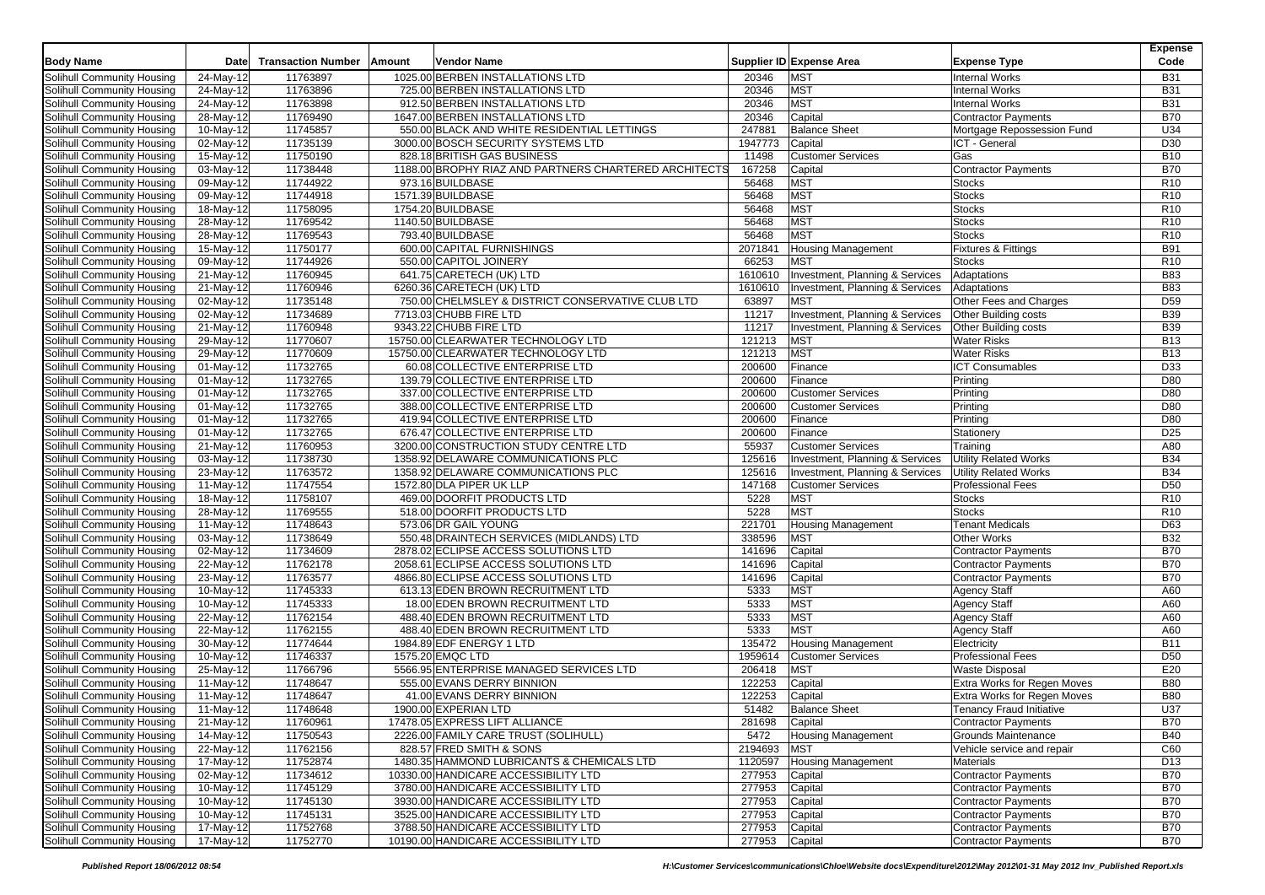|                            |             |                           |        |                                                       |                  |                                 |                                 | <b>Expense</b>                |
|----------------------------|-------------|---------------------------|--------|-------------------------------------------------------|------------------|---------------------------------|---------------------------------|-------------------------------|
| <b>Body Name</b>           | Date        | <b>Transaction Number</b> | Amount | <b>Vendor Name</b>                                    |                  | Supplier ID Expense Area        | <b>Expense Type</b>             | Code                          |
| Solihull Community Housing | 24-May-12   | 11763897                  |        | 1025.00 BERBEN INSTALLATIONS LTD                      | 20346            | <b>MST</b>                      | <b>Internal Works</b>           | <b>B31</b>                    |
| Solihull Community Housing | 24-May-12   | 11763896                  |        | 725.00 BERBEN INSTALLATIONS LTD                       | 20346            | <b>MST</b>                      | <b>Internal Works</b>           | <b>B31</b>                    |
| Solihull Community Housing | 24-May-12   | 11763898                  |        | 912.50 BERBEN INSTALLATIONS LTD                       | 20346            | <b>MST</b>                      | <b>Internal Works</b>           | <b>B31</b>                    |
| Solihull Community Housing | 28-May-12   | 11769490                  |        | 1647.00 BERBEN INSTALLATIONS LTD                      | 20346            | Capital                         | <b>Contractor Payments</b>      | <b>B70</b>                    |
| Solihull Community Housing | 10-May-12   | 11745857                  |        | 550.00 BLACK AND WHITE RESIDENTIAL LETTINGS           | 247881           | <b>Balance Sheet</b>            | Mortgage Repossession Fund      | U34                           |
| Solihull Community Housing | 02-May-12   | 11735139                  |        | 3000.00 BOSCH SECURITY SYSTEMS LTD                    | 1947773          | Capital                         | ICT - General                   | D30                           |
| Solihull Community Housing | 15-May-12   | 11750190                  |        | 828.18 BRITISH GAS BUSINESS                           | 11498            | <b>Customer Services</b>        | Gas                             | <b>B10</b>                    |
| Solihull Community Housing | 03-May-12   | 11738448                  |        | 1188.00 BROPHY RIAZ AND PARTNERS CHARTERED ARCHITECTS | 167258           | Capital                         | <b>Contractor Payments</b>      | <b>B70</b>                    |
| Solihull Community Housing | 09-May-12   | 11744922                  |        | 973.16 BUILDBASE                                      | 56468            | <b>MST</b>                      | <b>Stocks</b>                   | R <sub>10</sub>               |
| Solihull Community Housing | 09-May-12   | 11744918                  |        | 1571.39 BUILDBASE                                     | 56468            | <b>MST</b>                      | <b>Stocks</b>                   | R <sub>10</sub>               |
| Solihull Community Housing | 18-May-12   | 11758095                  |        | 1754.20 BUILDBASE                                     | 56468            | <b>MST</b>                      | <b>Stocks</b>                   | R <sub>10</sub>               |
| Solihull Community Housing | 28-May-12   | 11769542                  |        | 1140.50 BUILDBASE                                     | 56468            | <b>MST</b>                      | <b>Stocks</b>                   | R <sub>10</sub>               |
|                            |             | 11769543                  |        | 793.40 BUILDBASE                                      |                  | <b>MST</b>                      |                                 |                               |
| Solihull Community Housing | 28-May-12   | 11750177                  |        | 600.00 CAPITAL FURNISHINGS                            | 56468            | <b>Housing Management</b>       | <b>Stocks</b>                   | R <sub>10</sub><br><b>B91</b> |
| Solihull Community Housing | 15-May-12   |                           |        |                                                       | 2071841<br>66253 | <b>MST</b>                      | <b>Fixtures &amp; Fittings</b>  | R <sub>10</sub>               |
| Solihull Community Housing | 09-May-12   | 11744926                  |        | 550.00 CAPITOL JOINERY                                |                  |                                 | <b>Stocks</b>                   |                               |
| Solihull Community Housing | 21-May-12   | 11760945                  |        | 641.75 CARETECH (UK) LTD                              | 1610610          | Investment, Planning & Services | Adaptations                     | <b>B83</b>                    |
| Solihull Community Housing | 21-May-12   | 11760946                  |        | 6260.36 CARETECH (UK) LTD                             | 1610610          | Investment, Planning & Services | Adaptations                     | <b>B83</b>                    |
| Solihull Community Housing | $02-May-12$ | 11735148                  |        | 750.00 CHELMSLEY & DISTRICT CONSERVATIVE CLUB LTD     | 63897            | <b>MST</b>                      | Other Fees and Charges          | D <sub>59</sub>               |
| Solihull Community Housing | 02-May-12   | 11734689                  |        | 7713.03 CHUBB FIRE LTD                                | 11217            | Investment, Planning & Services | Other Building costs            | <b>B39</b>                    |
| Solihull Community Housing | 21-May-12   | 11760948                  |        | 9343.22 CHUBB FIRE LTD                                | 11217            | Investment, Planning & Services | Other Building costs            | B39                           |
| Solihull Community Housing | 29-May-12   | 11770607                  |        | 15750.00 CLEARWATER TECHNOLOGY LTD                    | 121213           | <b>MST</b>                      | <b>Water Risks</b>              | <b>B13</b>                    |
| Solihull Community Housing | 29-May-12   | 11770609                  |        | 15750.00 CLEARWATER TECHNOLOGY LTD                    | 121213           | <b>MST</b>                      | <b>Water Risks</b>              | <b>B13</b>                    |
| Solihull Community Housing | 01-May-12   | 11732765                  |        | 60.08 COLLECTIVE ENTERPRISE LTD                       | 200600           | Finance                         | <b>ICT Consumables</b>          | D33                           |
| Solihull Community Housing | 01-May-12   | 11732765                  |        | 139.79 COLLECTIVE ENTERPRISE LTD                      | 200600           | Finance                         | Printing                        | D80                           |
| Solihull Community Housing | 01-May-12   | 11732765                  |        | 337.00 COLLECTIVE ENTERPRISE LTD                      | 200600           | <b>Customer Services</b>        | Printing                        | D80                           |
| Solihull Community Housing | 01-May-12   | 11732765                  |        | 388.00 COLLECTIVE ENTERPRISE LTD                      | 200600           | <b>Customer Services</b>        | Printing                        | D80                           |
| Solihull Community Housing | 01-May-12   | 11732765                  |        | 419.94 COLLECTIVE ENTERPRISE LTD                      | 200600           | Finance                         | Printing                        | D80                           |
| Solihull Community Housing | 01-May-12   | 11732765                  |        | 676.47 COLLECTIVE ENTERPRISE LTD                      | 200600           | Finance                         | Stationery                      | D <sub>25</sub>               |
| Solihull Community Housing | 21-May-12   | 11760953                  |        | 3200.00 CONSTRUCTION STUDY CENTRE LTD                 | 55937            | <b>Customer Services</b>        | Training                        | A80                           |
| Solihull Community Housing | 03-May-12   | 11738730                  |        | 1358.92 DELAWARE COMMUNICATIONS PLC                   | 125616           | Investment, Planning & Services | <b>Utility Related Works</b>    | <b>B34</b>                    |
| Solihull Community Housing | 23-May-12   | 11763572                  |        | 1358.92 DELAWARE COMMUNICATIONS PLC                   | 125616           | Investment, Planning & Services | <b>Utility Related Works</b>    | <b>B34</b>                    |
| Solihull Community Housing | 11-May-12   | 11747554                  |        | 1572.80 DLA PIPER UK LLP                              | 147168           | <b>Customer Services</b>        | <b>Professional Fees</b>        | D <sub>50</sub>               |
| Solihull Community Housing | 18-May-12   | 11758107                  |        | 469.00 DOORFIT PRODUCTS LTD                           | 5228             | <b>MST</b>                      | <b>Stocks</b>                   | R <sub>10</sub>               |
| Solihull Community Housing | 28-May-12   | 11769555                  |        | 518.00 DOORFIT PRODUCTS LTD                           | 5228             | <b>MST</b>                      | <b>Stocks</b>                   | R <sub>10</sub>               |
| Solihull Community Housing | 11-May-12   | 11748643                  |        | 573.06 DR GAIL YOUNG                                  | 221701           | <b>Housing Management</b>       | <b>Tenant Medicals</b>          | D63                           |
| Solihull Community Housing | 03-May-12   | 11738649                  |        | 550.48 DRAINTECH SERVICES (MIDLANDS) LTD              | 338596           | <b>MST</b>                      | <b>Other Works</b>              | <b>B32</b>                    |
| Solihull Community Housing | 02-May-12   | 11734609                  |        | 2878.02 ECLIPSE ACCESS SOLUTIONS LTD                  | 141696           | Capital                         | <b>Contractor Payments</b>      | <b>B70</b>                    |
| Solihull Community Housing | 22-May-12   | 11762178                  |        | 2058.61 ECLIPSE ACCESS SOLUTIONS LTD                  | 141696           | Capital                         | <b>Contractor Payments</b>      | <b>B70</b>                    |
| Solihull Community Housing | 23-May-12   | 11763577                  |        | 4866.80 ECLIPSE ACCESS SOLUTIONS LTD                  | 141696           | Capital                         | <b>Contractor Payments</b>      | <b>B70</b>                    |
| Solihull Community Housing | 10-May-12   | 11745333                  |        | 613.13 EDEN BROWN RECRUITMENT LTD                     | 5333             | <b>MST</b>                      | <b>Agency Staff</b>             | A60                           |
| Solihull Community Housing | 10-May-12   | 11745333                  |        | 18.00 EDEN BROWN RECRUITMENT LTD                      | 5333             | <b>MST</b>                      | <b>Agency Staff</b>             | A60                           |
| Solihull Community Housing | 22-May-12   | 11762154                  |        | 488.40 EDEN BROWN RECRUITMENT LTD                     | 5333             | <b>MST</b>                      | <b>Agency Staff</b>             | A60                           |
| Solihull Community Housing | $22-May-12$ | 11762155                  |        | 488.40 EDEN BROWN RECRUITMENT LTD                     | 5333             | <b>MST</b>                      | <b>Agency Staff</b>             | A60                           |
| Solihull Community Housing | 30-May-12   | 11774644                  |        | 1984.89 EDF ENERGY 1 LTD                              | 135472           | <b>Housing Management</b>       | Electricity                     | <b>B11</b>                    |
| Solihull Community Housing | 10-May-12   | 11746337                  |        | 1575.20 EMQC LTD                                      | 1959614          | <b>Customer Services</b>        | <b>Professional Fees</b>        | D <sub>50</sub>               |
| Solihull Community Housing | 25-May-12   | 11766796                  |        | 5566.95 ENTERPRISE MANAGED SERVICES LTD               | 206418           | <b>MST</b>                      | <b>Waste Disposal</b>           | E20                           |
| Solihull Community Housing | 11-May-12   | 11748647                  |        | 555.00 EVANS DERRY BINNION                            | 122253           | Capital                         | Extra Works for Regen Moves     | <b>B80</b>                    |
| Solihull Community Housing | 11-May-12   | 11748647                  |        | 41.00 EVANS DERRY BINNION                             | 122253           | Capital                         | Extra Works for Regen Moves     | <b>B80</b>                    |
| Solihull Community Housing | 11-May-12   | 11748648                  |        | 1900.00 EXPERIAN LTD                                  | 51482            | <b>Balance Sheet</b>            | <b>Tenancy Fraud Initiative</b> | U37                           |
| Solihull Community Housing | 21-May-12   | 11760961                  |        | 17478.05 EXPRESS LIFT ALLIANCE                        | 281698           | Capital                         | <b>Contractor Payments</b>      | <b>B70</b>                    |
| Solihull Community Housing | 14-May-12   | 11750543                  |        | 2226.00 FAMILY CARE TRUST (SOLIHULL)                  | 5472             | <b>Housing Management</b>       | Grounds Maintenance             | <b>B40</b>                    |
| Solihull Community Housing | 22-May-12   | 11762156                  |        | 828.57 FRED SMITH & SONS                              | 2194693          | <b>MST</b>                      | Vehicle service and repair      | C60                           |
| Solihull Community Housing | 17-May-12   | 11752874                  |        | 1480.35 HAMMOND LUBRICANTS & CHEMICALS LTD            | 1120597          | <b>Housing Management</b>       | Materials                       | D13                           |
| Solihull Community Housing | $02-May-12$ | 11734612                  |        | 10330.00 HANDICARE ACCESSIBILITY LTD                  | 277953           | Capital                         | <b>Contractor Payments</b>      | <b>B70</b>                    |
| Solihull Community Housing | 10-May-12   | 11745129                  |        | 3780.00 HANDICARE ACCESSIBILITY LTD                   | 277953           | Capital                         | <b>Contractor Payments</b>      | B70                           |
| Solihull Community Housing | 10-May-12   | 11745130                  |        | 3930.00 HANDICARE ACCESSIBILITY LTD                   | 277953           | Capital                         | <b>Contractor Payments</b>      | <b>B70</b>                    |
| Solihull Community Housing | 10-May-12   | 11745131                  |        | 3525.00 HANDICARE ACCESSIBILITY LTD                   | 277953           |                                 | <b>Contractor Payments</b>      | <b>B70</b>                    |
| Solihull Community Housing | 17-May-12   | 11752768                  |        | 3788.50 HANDICARE ACCESSIBILITY LTD                   |                  | Capital                         | <b>Contractor Payments</b>      | <b>B70</b>                    |
|                            |             |                           |        |                                                       | 277953           | Capital                         |                                 |                               |
| Solihull Community Housing | 17-May-12   | 11752770                  |        | 10190.00 HANDICARE ACCESSIBILITY LTD                  | 277953           | Capital                         | <b>Contractor Payments</b>      | <b>B70</b>                    |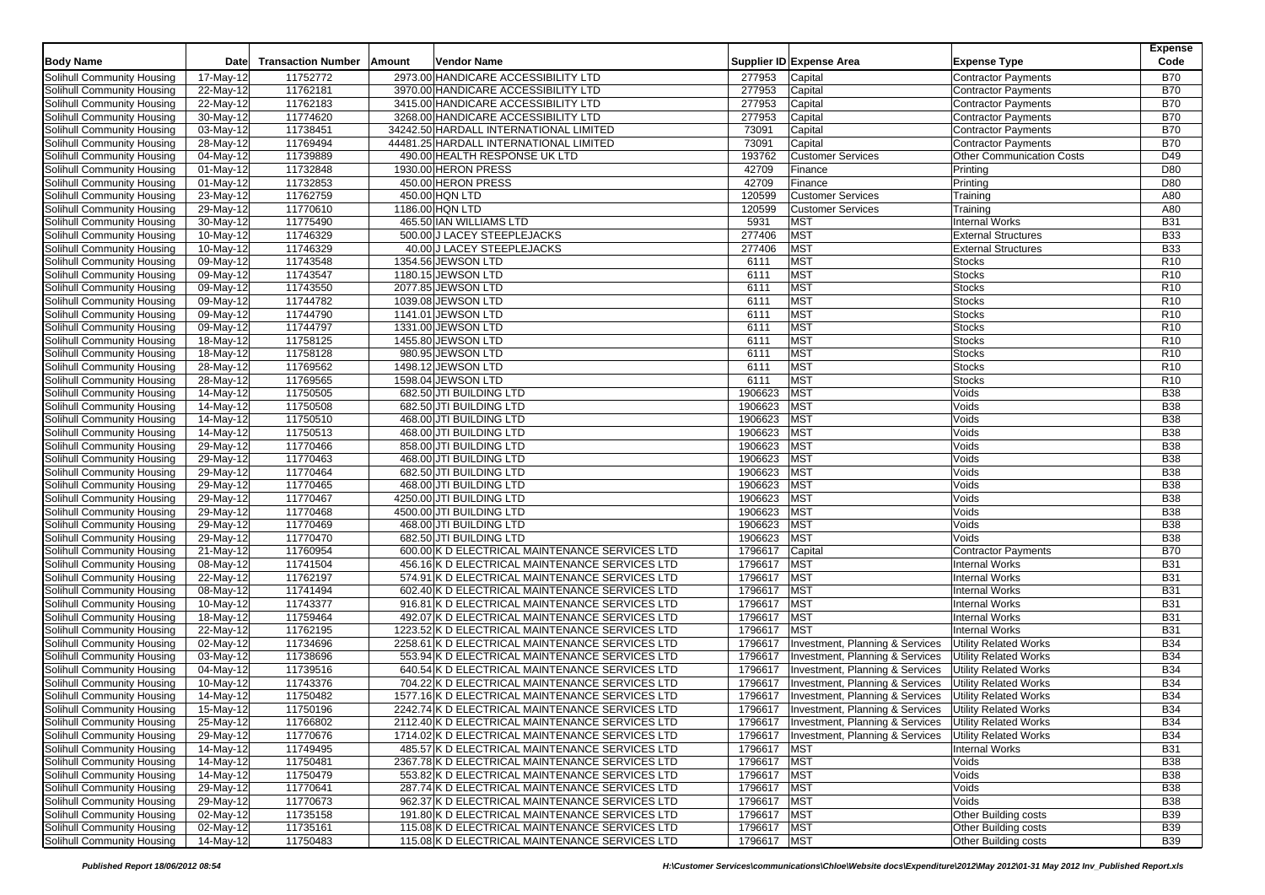|                            |                         |                           |        |                                                 |             |                                            |                                  | <b>Expense</b>  |
|----------------------------|-------------------------|---------------------------|--------|-------------------------------------------------|-------------|--------------------------------------------|----------------------------------|-----------------|
| <b>Body Name</b>           | <b>Date</b>             | <b>Transaction Number</b> | Amount | Vendor Name                                     |             | Supplier ID Expense Area                   | <b>Expense Type</b>              | Code            |
| Solihull Community Housing | 17-May-12               | 11752772                  |        | 2973.00 HANDICARE ACCESSIBILITY LTD             | 277953      | Capital                                    | <b>Contractor Payments</b>       | <b>B70</b>      |
| Solihull Community Housing | 22-May-12               | 11762181                  |        | 3970.00 HANDICARE ACCESSIBILITY LTD             | 277953      | Capital                                    | <b>Contractor Payments</b>       | <b>B70</b>      |
| Solihull Community Housing | 22-May-12               | 11762183                  |        | 3415.00 HANDICARE ACCESSIBILITY LTD             | 277953      | Capital                                    | <b>Contractor Payments</b>       | <b>B70</b>      |
| Solihull Community Housing | $\overline{30}$ -May-12 | 11774620                  |        | 3268.00 HANDICARE ACCESSIBILITY LTD             | 277953      | Capital                                    | <b>Contractor Payments</b>       | <b>B70</b>      |
| Solihull Community Housing | 03-May-12               | 11738451                  |        | 34242.50 HARDALL INTERNATIONAL LIMITED          | 73091       | Capital                                    | <b>Contractor Payments</b>       | <b>B70</b>      |
| Solihull Community Housing | 28-May-12               | 11769494                  |        | 44481.25 HARDALL INTERNATIONAL LIMITED          | 73091       | Capital                                    | <b>Contractor Payments</b>       | <b>B70</b>      |
| Solihull Community Housing | 04-May-12               | 11739889                  |        | 490.00 HEALTH RESPONSE UK LTD                   | 193762      | <b>Customer Services</b>                   | <b>Other Communication Costs</b> | D49             |
| Solihull Community Housing | 01-May-12               | 11732848                  |        | 1930.00 HERON PRESS                             | 42709       | Finance                                    | Printing                         | D80             |
| Solihull Community Housing | 01-May-12               | 11732853                  |        | 450.00 HERON PRESS                              | 42709       | Finance                                    | Printing                         | D80             |
| Solihull Community Housing | 23-May-12               | 11762759                  |        | 450.00 HQN LTD                                  | 120599      | <b>Customer Services</b>                   | Training                         | A80             |
| Solihull Community Housing | 29-May-12               | 11770610                  |        | 1186.00 HQN LTD                                 | 120599      | <b>Customer Services</b>                   | Training                         | A80             |
| Solihull Community Housing | 30-May-12               | 11775490                  |        | 465.50 IAN WILLIAMS LTD                         | 5931        | <b>MST</b>                                 | <b>Internal Works</b>            | <b>B31</b>      |
| Solihull Community Housing | 10-May-12               | 11746329                  |        | 500.00 J LACEY STEEPLEJACKS                     | 277406      | <b>MST</b>                                 | <b>External Structures</b>       | <b>B33</b>      |
| Solihull Community Housing | 10-May-12               | 11746329                  |        | 40.00 J LACEY STEEPLEJACKS                      | 277406      | <b>MST</b>                                 | <b>External Structures</b>       | <b>B33</b>      |
| Solihull Community Housing | 09-May-12               | 11743548                  |        | 1354.56 JEWSON LTD                              | 6111        | <b>MST</b>                                 | <b>Stocks</b>                    | R <sub>10</sub> |
| Solihull Community Housing | 09-May-12               | 11743547                  |        | 1180.15 JEWSON LTD                              | 6111        | <b>MST</b>                                 | <b>Stocks</b>                    | R <sub>10</sub> |
| Solihull Community Housing | 09-May-12               | 11743550                  |        | 2077.85 JEWSON LTD                              | 6111        | <b>MST</b>                                 | <b>Stocks</b>                    | R <sub>10</sub> |
| Solihull Community Housing | 09-May-12               | 11744782                  |        | 1039.08 JEWSON LTD                              | 6111        | <b>MST</b>                                 | <b>Stocks</b>                    | R <sub>10</sub> |
| Solihull Community Housing | 09-May-12               | 11744790                  |        | 1141.01 JEWSON LTD                              | 6111        | <b>MST</b>                                 | <b>Stocks</b>                    | R <sub>10</sub> |
| Solihull Community Housing | 09-May-12               | 11744797                  |        | 1331.00 JEWSON LTD                              | 6111        | <b>MST</b>                                 | <b>Stocks</b>                    | R <sub>10</sub> |
| Solihull Community Housing | 18-May-12               | 11758125                  |        | 1455.80 JEWSON LTD                              | 6111        | <b>MST</b>                                 | <b>Stocks</b>                    | R <sub>10</sub> |
| Solihull Community Housing | 18-May-12               | 11758128                  |        | 980.95 JEWSON LTD                               | 6111        | <b>MST</b>                                 | <b>Stocks</b>                    | R <sub>10</sub> |
| Solihull Community Housing | $28-May-12$             | 11769562                  |        | 1498.12 JEWSON LTD                              | 6111        | <b>MST</b>                                 | <b>Stocks</b>                    | R <sub>10</sub> |
| Solihull Community Housing | 28-May-12               | 11769565                  |        | 1598.04 JEWSON LTD                              | 6111        | <b>MST</b>                                 | <b>Stocks</b>                    | R <sub>10</sub> |
| Solihull Community Housing | 14-May-12               | 11750505                  |        | 682.50 JTI BUILDING LTD                         | 1906623     | <b>MST</b>                                 | Voids                            | <b>B38</b>      |
| Solihull Community Housing | 14-May-12               | 11750508                  |        | 682.50 JTI BUILDING LTD                         | 1906623     | <b>MST</b>                                 | Voids                            | <b>B38</b>      |
| Solihull Community Housing | 14-May-12               | 11750510                  |        | 468.00 JTI BUILDING LTD                         | 1906623     | <b>MST</b>                                 | Voids                            | <b>B38</b>      |
| Solihull Community Housing | $14$ -May-12            | 11750513                  |        | 468.00 JTI BUILDING LTD                         | 1906623     | <b>MST</b>                                 | Voids                            | <b>B38</b>      |
| Solihull Community Housing | $29-May-12$             | 11770466                  |        | 858.00 JTI BUILDING LTD                         | 1906623     | <b>MST</b>                                 | Voids                            | <b>B38</b>      |
| Solihull Community Housing | 29-May-12               | 11770463                  |        | 468.00 JTI BUILDING LTD                         | 1906623     | <b>MST</b>                                 | Voids                            | <b>B38</b>      |
| Solihull Community Housing | 29-May-12               | 11770464                  |        | 682.50 JTI BUILDING LTD                         | 1906623     | <b>MST</b>                                 | Voids                            | <b>B38</b>      |
| Solihull Community Housing | 29-May-12               | 11770465                  |        | 468.00 JTI BUILDING LTD                         | 1906623     | <b>MST</b>                                 | Voids                            | <b>B38</b>      |
| Solihull Community Housing | 29-May-12               | 11770467                  |        | 4250.00 JTI BUILDING LTD                        | 1906623     | <b>MST</b>                                 | Voids                            | <b>B38</b>      |
| Solihull Community Housing | 29-May-12               | 11770468                  |        | 4500.00 JTI BUILDING LTD                        | 1906623     | <b>MST</b>                                 | Voids                            | <b>B38</b>      |
| Solihull Community Housing | 29-May-12               | 11770469                  |        | 468.00 JTI BUILDING LTD                         | 1906623     | <b>MST</b>                                 | Voids                            | <b>B38</b>      |
| Solihull Community Housing | 29-May-12               | 11770470                  |        | 682.50 JTI BUILDING LTD                         | 1906623     | <b>MST</b>                                 | Voids                            | <b>B38</b>      |
| Solihull Community Housing | 21-May-12               | 11760954                  |        | 600.00 K D ELECTRICAL MAINTENANCE SERVICES LTD  | 1796617     | Capital                                    | <b>Contractor Payments</b>       | <b>B70</b>      |
| Solihull Community Housing | 08-May-12               | 11741504                  |        | 456.16 K D ELECTRICAL MAINTENANCE SERVICES LTD  | 1796617     | <b>MST</b>                                 | <b>Internal Works</b>            | <b>B31</b>      |
| Solihull Community Housing | 22-May-12               | 11762197                  |        | 574.91 K D ELECTRICAL MAINTENANCE SERVICES LTD  | 1796617     | <b>MST</b>                                 | <b>Internal Works</b>            | <b>B31</b>      |
| Solihull Community Housing | 08-May-12               | 11741494                  |        | 602.40 K D ELECTRICAL MAINTENANCE SERVICES LTD  | 1796617     | <b>MST</b>                                 | <b>Internal Works</b>            | <b>B31</b>      |
| Solihull Community Housing | $10-May-12$             | 11743377                  |        | 916.81 K D ELECTRICAL MAINTENANCE SERVICES LTD  | 1796617     | <b>MST</b>                                 | <b>Internal Works</b>            | <b>B31</b>      |
| Solihull Community Housing | $\overline{18}$ -May-12 | 11759464                  |        | 492.07 K D ELECTRICAL MAINTENANCE SERVICES LTD  | 1796617     | <b>MST</b>                                 | <b>Internal Works</b>            | <b>B31</b>      |
| Solihull Community Housing | 22-May-12               | 11762195                  |        | 1223.52 K D ELECTRICAL MAINTENANCE SERVICES LTD | 1796617     | <b>MST</b>                                 | <b>Internal Works</b>            | <b>B31</b>      |
| Solihull Community Housing | 02-May-12               | 11734696                  |        | 2258.61 K D ELECTRICAL MAINTENANCE SERVICES LTD | 1796617     | <b>Investment, Planning &amp; Services</b> | <b>Utility Related Works</b>     | <b>B34</b>      |
| Solihull Community Housing | 03-May-12               | 11738696                  |        | 553.94 K D ELECTRICAL MAINTENANCE SERVICES LTD  | 1796617     | Investment, Planning & Services            | <b>Utility Related Works</b>     | <b>B34</b>      |
| Solihull Community Housing | 04-May-12               | 11739516                  |        | 640.54 K D ELECTRICAL MAINTENANCE SERVICES LTD  | 1796617     | <b>Investment, Planning &amp; Services</b> | <b>Utility Related Works</b>     | <b>B34</b>      |
| Solihull Community Housing | 10-May-12               | 11743376                  |        | 704.22 K D ELECTRICAL MAINTENANCE SERVICES LTD  | 1796617     | <b>Investment, Planning &amp; Services</b> | <b>Utility Related Works</b>     | <b>B34</b>      |
| Solihull Community Housing | 14-May-12               | 11750482                  |        | 1577.16 K D ELECTRICAL MAINTENANCE SERVICES LTD | 1796617     | <b>Investment, Planning &amp; Services</b> | <b>Utility Related Works</b>     | <b>B34</b>      |
| Solihull Community Housing | 15-May-12               | 11750196                  |        | 2242.74 K D ELECTRICAL MAINTENANCE SERVICES LTD | 1796617     | Investment, Planning & Services            | <b>Utility Related Works</b>     | <b>B34</b>      |
| Solihull Community Housing | 25-May-12               | 11766802                  |        | 2112.40 K D ELECTRICAL MAINTENANCE SERVICES LTD | 1796617     | Investment, Planning & Services            | <b>Utility Related Works</b>     | <b>B34</b>      |
| Solihull Community Housing | 29-May-12               | 11770676                  |        | 1714.02 K D ELECTRICAL MAINTENANCE SERVICES LTD | 1796617     | Investment, Planning & Services            | <b>Utility Related Works</b>     | <b>B34</b>      |
| Solihull Community Housing | 14-May-12               | 11749495                  |        | 485.57 K D ELECTRICAL MAINTENANCE SERVICES LTD  | 1796617     | <b>MST</b>                                 | <b>Internal Works</b>            | <b>B31</b>      |
| Solihull Community Housing | 14-May-12               | 11750481                  |        | 2367.78 K D ELECTRICAL MAINTENANCE SERVICES LTD | 1796617     | <b>MST</b>                                 | Voids                            | <b>B38</b>      |
| Solihull Community Housing | $14$ -May-12            | 11750479                  |        | 553.82 K D ELECTRICAL MAINTENANCE SERVICES LTD  | 1796617     | <b>MST</b>                                 | Voids                            | <b>B38</b>      |
| Solihull Community Housing | 29-May-12               | 11770641                  |        | 287.74 K D ELECTRICAL MAINTENANCE SERVICES LTD  | 1796617     | <b>MST</b>                                 | Voids                            | <b>B38</b>      |
| Solihull Community Housing | 29-May-12               | 11770673                  |        | 962.37 K D ELECTRICAL MAINTENANCE SERVICES LTD  | 1796617     | <b>MST</b>                                 | Voids                            | <b>B38</b>      |
| Solihull Community Housing | 02-May-12               | 11735158                  |        | 191.80 K D ELECTRICAL MAINTENANCE SERVICES LTD  | 1796617     | <b>MST</b>                                 | Other Building costs             | <b>B39</b>      |
| Solihull Community Housing | 02-May-12               | 11735161                  |        | 115.08 K D ELECTRICAL MAINTENANCE SERVICES LTD  | 1796617 MST |                                            | Other Building costs             | <b>B39</b>      |
| Solihull Community Housing | 14-May-12               | 11750483                  |        | 115.08 K D ELECTRICAL MAINTENANCE SERVICES LTD  | 1796617 MST |                                            | Other Building costs             | <b>B39</b>      |
|                            |                         |                           |        |                                                 |             |                                            |                                  |                 |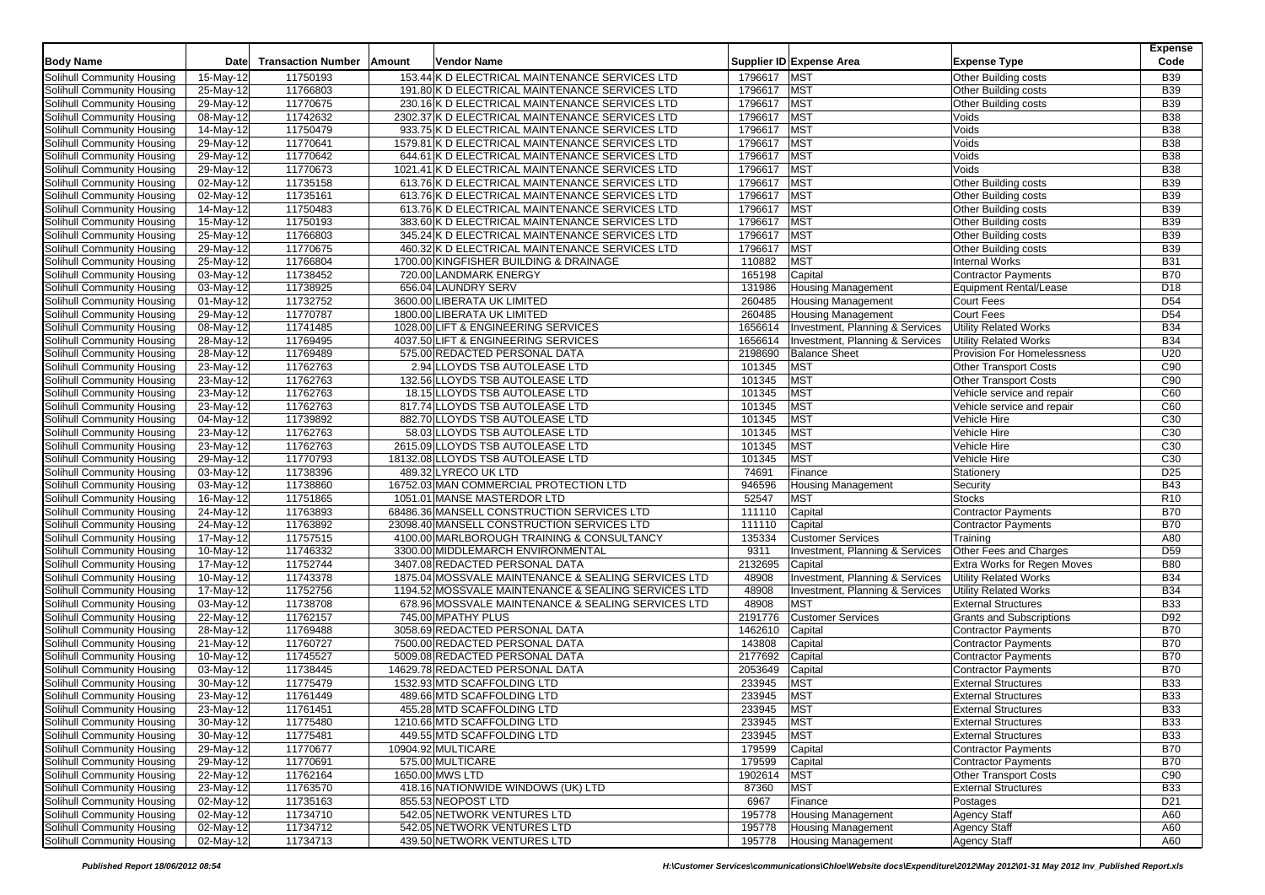|                            |                         |                           |        |                                                     |             |                                 |                                 | <b>Expense</b>  |
|----------------------------|-------------------------|---------------------------|--------|-----------------------------------------------------|-------------|---------------------------------|---------------------------------|-----------------|
| <b>Body Name</b>           | Date                    | <b>Transaction Number</b> | Amount | <b>Vendor Name</b>                                  |             | Supplier ID Expense Area        | <b>Expense Type</b>             | Code            |
| Solihull Community Housing | 15-May-12               | 11750193                  |        | 153.44 K D ELECTRICAL MAINTENANCE SERVICES LTD      | 1796617 MST |                                 | Other Building costs            | <b>B39</b>      |
| Solihull Community Housing | 25-May-12               | 11766803                  |        | 191.80 K D ELECTRICAL MAINTENANCE SERVICES LTD      | 1796617 MST |                                 | Other Building costs            | <b>B39</b>      |
| Solihull Community Housing | 29-May-12               | 11770675                  |        | 230.16 K D ELECTRICAL MAINTENANCE SERVICES LTD      | 1796617     | <b>MST</b>                      | Other Building costs            | <b>B39</b>      |
| Solihull Community Housing | $\overline{08}$ -May-12 | 11742632                  |        | 2302.37 K D ELECTRICAL MAINTENANCE SERVICES LTD     | 1796617     | <b>MST</b>                      | Voids                           | B38             |
| Solihull Community Housing | 14-May-12               | 11750479                  |        | 933.75 K D ELECTRICAL MAINTENANCE SERVICES LTD      | 1796617     | <b>MST</b>                      | Voids                           | <b>B38</b>      |
| Solihull Community Housing | 29-May-12               | 11770641                  |        | 1579.81 K D ELECTRICAL MAINTENANCE SERVICES LTD     | 1796617     | <b>MST</b>                      | Voids                           | <b>B38</b>      |
| Solihull Community Housing | 29-May-12               | 11770642                  |        |                                                     | 1796617     | <b>MST</b>                      | Voids                           | <b>B38</b>      |
|                            |                         |                           |        | 644.61 K D ELECTRICAL MAINTENANCE SERVICES LTD      |             |                                 |                                 |                 |
| Solihull Community Housing | 29-May-12               | 11770673                  |        | 1021.41 K D ELECTRICAL MAINTENANCE SERVICES LTD     | 1796617     | <b>MST</b>                      | Voids                           | <b>B38</b>      |
| Solihull Community Housing | 02-May-12               | 11735158                  |        | 613.76 K D ELECTRICAL MAINTENANCE SERVICES LTD      | 1796617     | <b>MST</b>                      | Other Building costs            | <b>B39</b>      |
| Solihull Community Housing | 02-May-12               | 11735161                  |        | 613.76 K D ELECTRICAL MAINTENANCE SERVICES LTD      | 1796617     | <b>MST</b>                      | <b>Other Building costs</b>     | <b>B39</b>      |
| Solihull Community Housing | 14-May-12               | 11750483                  |        | 613.76 K D ELECTRICAL MAINTENANCE SERVICES LTD      | 1796617     | MST                             | Other Building costs            | <b>B39</b>      |
| Solihull Community Housing | 15-May-12               | 11750193                  |        | 383.60 K D ELECTRICAL MAINTENANCE SERVICES LTD      | 1796617     | <b>MST</b>                      | Other Building costs            | <b>B39</b>      |
| Solihull Community Housing | 25-May-12               | 11766803                  |        | 345.24 K D ELECTRICAL MAINTENANCE SERVICES LTD      | 1796617     | <b>MST</b>                      | Other Building costs            | <b>B39</b>      |
| Solihull Community Housing | 29-May-12               | 11770675                  |        | 460.32 K D ELECTRICAL MAINTENANCE SERVICES LTD      | 1796617     | <b>MST</b>                      | Other Building costs            | <b>B39</b>      |
| Solihull Community Housing | 25-May-12               | 11766804                  |        | 1700.00 KINGFISHER BUILDING & DRAINAGE              | 110882      | <b>MST</b>                      | <b>Internal Works</b>           | <b>B31</b>      |
| Solihull Community Housing | 03-May-12               | 11738452                  |        | 720.00 LANDMARK ENERGY                              | 165198      | Capital                         | <b>Contractor Payments</b>      | <b>B70</b>      |
| Solihull Community Housing | $\overline{03}$ -May-12 | 11738925                  |        | 656.04 LAUNDRY SERV                                 | 131986      | Housing Management              | <b>Equipment Rental/Lease</b>   | D <sub>18</sub> |
| Solihull Community Housing | $\overline{01-May-12}$  | 11732752                  |        | 3600.00 LIBERATA UK LIMITED                         | 260485      | <b>Housing Management</b>       | <b>Court Fees</b>               | D <sub>54</sub> |
| Solihull Community Housing | 29-May-12               | 11770787                  |        | 1800.00 LIBERATA UK LIMITED                         | 260485      | <b>Housing Management</b>       | <b>Court Fees</b>               | D <sub>54</sub> |
| Solihull Community Housing | 08-May-12               | 11741485                  |        | 1028.00 LIFT & ENGINEERING SERVICES                 | 1656614     | Investment, Planning & Services | <b>Utility Related Works</b>    | <b>B34</b>      |
| Solihull Community Housing | 28-May-12               | 11769495                  |        | 4037.50 LIFT & ENGINEERING SERVICES                 | 1656614     | Investment, Planning & Services | <b>Utility Related Works</b>    | <b>B34</b>      |
| Solihull Community Housing | 28-May-12               | 11769489                  |        | 575.00 REDACTED PERSONAL DATA                       | 2198690     | <b>Balance Sheet</b>            | Provision For Homelessness      | U20             |
| Solihull Community Housing | 23-May-12               | 11762763                  |        | 2.94 LLOYDS TSB AUTOLEASE LTD                       | 101345      | <b>MST</b>                      | <b>Other Transport Costs</b>    | C90             |
| Solihull Community Housing | 23-May-12               | 11762763                  |        | 132.56 LLOYDS TSB AUTOLEASE LTD                     | 101345      | <b>MST</b>                      | <b>Other Transport Costs</b>    | C90             |
| Solihull Community Housing | 23-May-12               | 11762763                  |        | 18.15 LLOYDS TSB AUTOLEASE LTD                      | 101345      | <b>MST</b>                      | Vehicle service and repair      | C60             |
| Solihull Community Housing | 23-May-12               | 11762763                  |        | 817.74 LLOYDS TSB AUTOLEASE LTD                     | 101345      | MST                             | Vehicle service and repair      | C60             |
| Solihull Community Housing | 04-May-12               | 11739892                  |        | 882.70 LLOYDS TSB AUTOLEASE LTD                     | 101345      | <b>MST</b>                      | Vehicle Hire                    | C30             |
| Solihull Community Housing | 23-May-12               | 11762763                  |        | 58.03 LLOYDS TSB AUTOLEASE LTD                      | 101345      | <b>MST</b>                      | Vehicle Hire                    | C30             |
| Solihull Community Housing | 23-May-12               | 11762763                  |        | 2615.09 LLOYDS TSB AUTOLEASE LTD                    | 101345      | <b>MST</b>                      | Vehicle Hire                    | C <sub>30</sub> |
| Solihull Community Housing | $29-May-12$             | 11770793                  |        | 18132.08 LLOYDS TSB AUTOLEASE LTD                   | 101345      | <b>MST</b>                      | Vehicle Hire                    | C30             |
| Solihull Community Housing | 03-May-12               | 11738396                  |        | 489.32 LYRECO UK LTD                                | 74691       | Finance                         | Stationery                      | D <sub>25</sub> |
| Solihull Community Housing | 03-May-12               | 11738860                  |        | 16752.03 MAN COMMERCIAL PROTECTION LTD              | 946596      | <b>Housing Management</b>       | Security                        | <b>B43</b>      |
| Solihull Community Housing | 16-May-12               | 11751865                  |        | 1051.01 MANSE MASTERDOR LTD                         | 52547       | <b>MST</b>                      | <b>Stocks</b>                   | R <sub>10</sub> |
|                            | 24-May-12               | 11763893                  |        | 68486.36 MANSELL CONSTRUCTION SERVICES LTD          | 111110      | Capital                         | <b>Contractor Payments</b>      | <b>B70</b>      |
| Solihull Community Housing |                         |                           |        |                                                     |             |                                 |                                 |                 |
| Solihull Community Housing | 24-May-12               | 11763892                  |        | 23098.40 MANSELL CONSTRUCTION SERVICES LTD          | 111110      | Capital                         | <b>Contractor Payments</b>      | <b>B70</b>      |
| Solihull Community Housing | 17-May-12               | 11757515                  |        | 4100.00 MARLBOROUGH TRAINING & CONSULTANCY          | 135334      | <b>Customer Services</b>        | Training                        | A80             |
| Solihull Community Housing | $10-May-12$             | 11746332                  |        | 3300.00 MIDDLEMARCH ENVIRONMENTAL                   | 9311        | Investment, Planning & Services | Other Fees and Charges          | D <sub>59</sub> |
| Solihull Community Housing | 17-May-12               | 11752744                  |        | 3407.08 REDACTED PERSONAL DATA                      | 2132695     | Capital                         | Extra Works for Regen Moves     | <b>B80</b>      |
| Solihull Community Housing | 10-May-12               | 11743378                  |        | 1875.04 MOSSVALE MAINTENANCE & SEALING SERVICES LTD | 48908       | Investment, Planning & Services | <b>Utility Related Works</b>    | <b>B34</b>      |
| Solihull Community Housing | 17-May-12               | 11752756                  |        | 1194.52 MOSSVALE MAINTENANCE & SEALING SERVICES LTD | 48908       | Investment, Planning & Services | <b>Utility Related Works</b>    | <b>B34</b>      |
| Solihull Community Housing | 03-May-12               | 11738708                  |        | 678.96 MOSSVALE MAINTENANCE & SEALING SERVICES LTD  | 48908       | <b>MST</b>                      | <b>External Structures</b>      | <b>B33</b>      |
| Solihull Community Housing | $22$ -May-12            | 11762157                  |        | 745.00 MPATHY PLUS                                  | 2191776     | <b>Customer Services</b>        | <b>Grants and Subscriptions</b> | D92             |
| Solihull Community Housing | 28-May-12               | 11769488                  |        | 3058.69 REDACTED PERSONAL DATA                      | 1462610     | Capital                         | <b>Contractor Payments</b>      | <b>B70</b>      |
| Solihull Community Housing | 21-May-12               | 11760727                  |        | 7500.00 REDACTED PERSONAL DATA                      | 143808      | Capital                         | <b>Contractor Payments</b>      | <b>B70</b>      |
| Solihull Community Housing | 10-May-12               | 11745527                  |        | 5009.08 REDACTED PERSONAL DATA                      | 2177692     | Capital                         | <b>Contractor Payments</b>      | <b>B70</b>      |
| Solihull Community Housing | 03-May-12               | 11738445                  |        | 14629.78 REDACTED PERSONAL DATA                     | 2053649     | Capital                         | <b>Contractor Payments</b>      | <b>B70</b>      |
| Solihull Community Housing | 30-May-12               | 11775479                  |        | 1532.93 MTD SCAFFOLDING LTD                         | 233945      | <b>MST</b>                      | <b>External Structures</b>      | <b>B33</b>      |
| Solihull Community Housing | 23-May-12               | 11761449                  |        | 489.66 MTD SCAFFOLDING LTD                          | 233945      | <b>MST</b>                      | <b>External Structures</b>      | <b>B33</b>      |
| Solihull Community Housing | 23-May-12               | 11761451                  |        | 455.28 MTD SCAFFOLDING LTD                          | 233945      | <b>MST</b>                      | <b>External Structures</b>      | <b>B33</b>      |
| Solihull Community Housing | 30-May-12               | 11775480                  |        | 1210.66 MTD SCAFFOLDING LTD                         | 233945      | MST                             | <b>External Structures</b>      | <b>B33</b>      |
| Solihull Community Housing | 30-May-12               | 11775481                  |        | 449.55 MTD SCAFFOLDING LTD                          | 233945      | <b>MST</b>                      | <b>External Structures</b>      | <b>B33</b>      |
| Solihull Community Housing | 29-May-12               | 11770677                  |        | 10904.92 MULTICARE                                  | 179599      | Capital                         | <b>Contractor Payments</b>      | <b>B70</b>      |
| Solihull Community Housing | 29-May-12               | 11770691                  |        | 575.00 MULTICARE                                    | 179599      | Capital                         | <b>Contractor Payments</b>      | <b>B70</b>      |
| Solihull Community Housing | $22-May-12$             | 11762164                  |        | 1650.00 MWS LTD                                     | 1902614     | <b>MST</b>                      | <b>Other Transport Costs</b>    | C90             |
| Solihull Community Housing | 23-May-12               | 11763570                  |        | 418.16 NATIONWIDE WINDOWS (UK) LTD                  | 87360       | <b>MST</b>                      | <b>External Structures</b>      | B33             |
| Solihull Community Housing | 02-May-12               | 11735163                  |        | 855.53 NEOPOST LTD                                  | 6967        | Finance                         | Postages                        | D <sub>21</sub> |
| Solihull Community Housing | 02-May-12               | 11734710                  |        | 542.05 NETWORK VENTURES LTD                         | 195778      | <b>Housing Management</b>       | <b>Agency Staff</b>             | A60             |
| Solihull Community Housing | 02-May-12               | 11734712                  |        | 542.05 NETWORK VENTURES LTD                         | 195778      | <b>Housing Management</b>       | <b>Agency Staff</b>             | A60             |
| Solihull Community Housing | 02-May-12               | 11734713                  |        | 439.50 NETWORK VENTURES LTD                         | 195778      | <b>Housing Management</b>       | <b>Agency Staff</b>             | A60             |
|                            |                         |                           |        |                                                     |             |                                 |                                 |                 |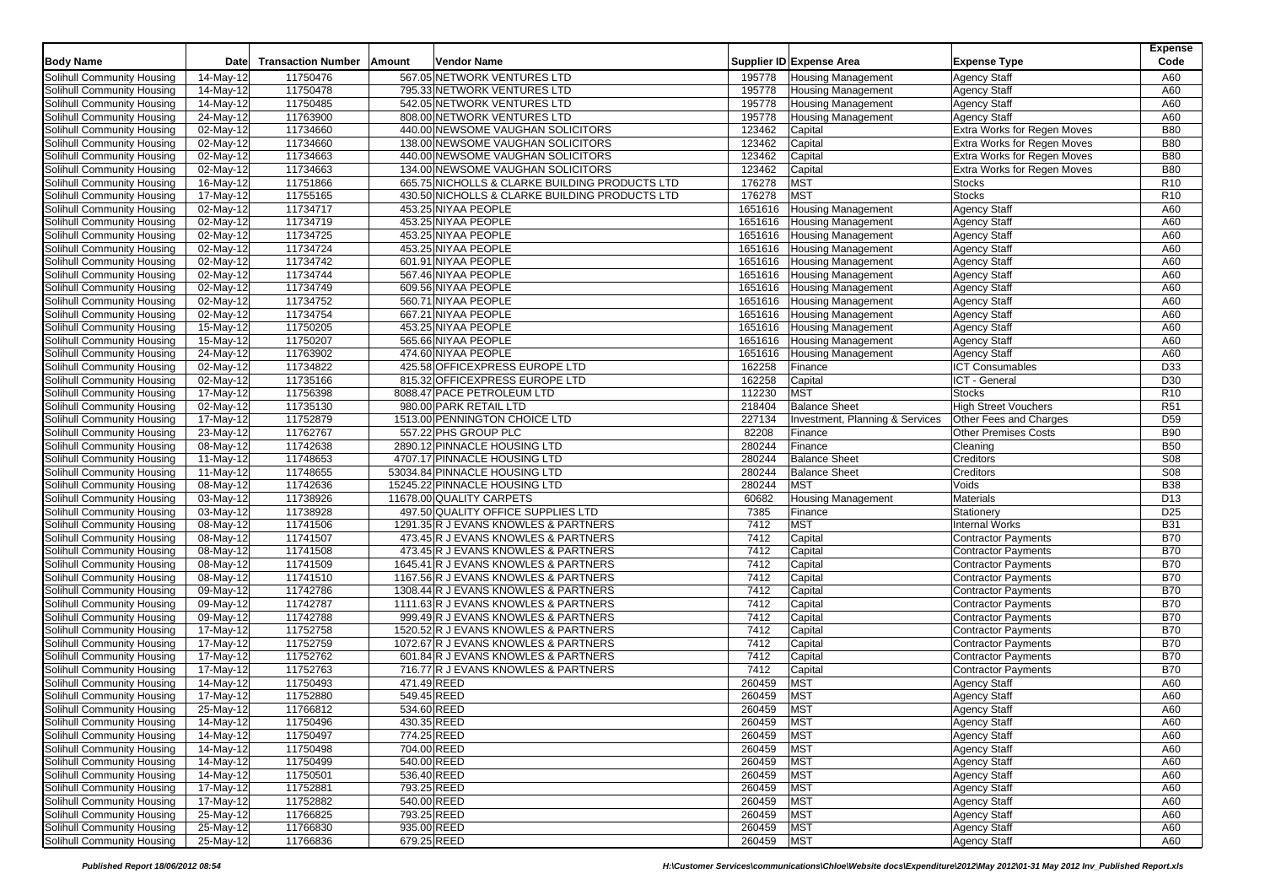|                            |                         |                           |        |                                                |                  |                                 |                             | <b>Expense</b>  |
|----------------------------|-------------------------|---------------------------|--------|------------------------------------------------|------------------|---------------------------------|-----------------------------|-----------------|
| <b>Body Name</b>           | Date                    | <b>Transaction Number</b> | Amount | Vendor Name                                    |                  | Supplier ID Expense Area        | <b>Expense Type</b>         | Code            |
| Solihull Community Housing | 14-May-12               | 11750476                  |        | 567.05 NETWORK VENTURES LTD                    | 195778           | <b>Housing Management</b>       | <b>Agency Staff</b>         | A60             |
| Solihull Community Housing | 14-May-12               | 11750478                  |        | 795.33 NETWORK VENTURES LTD                    | 195778           | <b>Housing Management</b>       | <b>Agency Staff</b>         | A60             |
| Solihull Community Housing | 14-May-12               | 11750485                  |        | 542.05 NETWORK VENTURES LTD                    | 195778           | <b>Housing Management</b>       | <b>Agency Staff</b>         | A60             |
| Solihull Community Housing | 24-May-12               | 11763900                  |        | 808.00 NETWORK VENTURES LTD                    | 195778           | <b>Housing Management</b>       | <b>Agency Staff</b>         | A60             |
| Solihull Community Housing | 02-May-12               | 11734660                  |        | 440.00 NEWSOME VAUGHAN SOLICITORS              | 123462           | Capital                         | Extra Works for Regen Moves | <b>B80</b>      |
| Solihull Community Housing | 02-May-12               | 11734660                  |        | 138.00 NEWSOME VAUGHAN SOLICITORS              | 123462           | Capital                         | Extra Works for Regen Moves | <b>B80</b>      |
| Solihull Community Housing | 02-May-12               | 11734663                  |        | 440.00 NEWSOME VAUGHAN SOLICITORS              | 123462           | Capital                         | Extra Works for Regen Moves | <b>B80</b>      |
| Solihull Community Housing | 02-May-12               | 11734663                  |        | 134.00 NEWSOME VAUGHAN SOLICITORS              | 123462           | Capital                         | Extra Works for Regen Moves | <b>B80</b>      |
| Solihull Community Housing | 16-May-12               | 11751866                  |        | 665.75 NICHOLLS & CLARKE BUILDING PRODUCTS LTD | 176278           | MST                             | <b>Stocks</b>               | R <sub>10</sub> |
| Solihull Community Housing | 17-May-12               | 11755165                  |        | 430.50 NICHOLLS & CLARKE BUILDING PRODUCTS LTD | 176278           | <b>MST</b>                      | <b>Stocks</b>               | R <sub>10</sub> |
| Solihull Community Housing | 02-May-12               | 11734717                  |        | 453.25 NIYAA PEOPLE                            | 1651616          | <b>Housing Management</b>       | <b>Agency Staff</b>         | A60             |
| Solihull Community Housing | 02-May-12               | 11734719                  |        | 453.25 NIYAA PEOPLE                            | 1651616          | <b>Housing Management</b>       | <b>Agency Staff</b>         | A60             |
| Solihull Community Housing | 02-May-12               | 11734725                  |        | 453.25 NIYAA PEOPLE                            | 1651616          | <b>Housing Management</b>       | <b>Agency Staff</b>         | A60             |
| Solihull Community Housing | 02-May-12               | 11734724                  |        | 453.25 NIYAA PEOPLE                            | 1651616          | <b>Housing Management</b>       | <b>Agency Staff</b>         | A60             |
| Solihull Community Housing | 02-May-12               | 11734742                  |        | 601.91 NIYAA PEOPLE                            | 1651616          | Housing Management              | <b>Agency Staff</b>         | A60             |
| Solihull Community Housing | 02-May-12               | 11734744                  |        | 567.46 NIYAA PEOPLE                            | 1651616          | <b>Housing Management</b>       | <b>Agency Staff</b>         | A60             |
| Solihull Community Housing | $\overline{02-M}$ ay-12 | 11734749                  |        | 609.56 NIYAA PEOPLE                            | 1651616          | Housing Management              | <b>Agency Staff</b>         | A60             |
| Solihull Community Housing | $02-May-12$             | 11734752                  |        | 560.71 NIYAA PEOPLE                            | 1651616          | <b>Housing Management</b>       | <b>Agency Staff</b>         | A60             |
| Solihull Community Housing | 02-May-12               | 11734754                  |        | 667.21 NIYAA PEOPLE                            | 1651616          | <b>Housing Management</b>       | <b>Agency Staff</b>         | A60             |
| Solihull Community Housing | 15-May-12               | 11750205                  |        | 453.25 NIYAA PEOPLE                            | 1651616          | <b>Housing Management</b>       | <b>Agency Staff</b>         | A60             |
| Solihull Community Housing | 15-May-12               | 11750207                  |        | 565.66 NIYAA PEOPLE                            | 1651616          | <b>Housing Management</b>       | <b>Agency Staff</b>         | A60             |
| Solihull Community Housing | 24-May-12               | 11763902                  |        | 474.60 NIYAA PEOPLE                            | 1651616          | <b>Housing Management</b>       | <b>Agency Staff</b>         | A60             |
| Solihull Community Housing | 02-May-12               | 11734822                  |        | 425.58 OFFICEXPRESS EUROPE LTD                 | 162258           | Finance                         | <b>ICT Consumables</b>      | D33             |
| Solihull Community Housing | 02-May-12               | 11735166                  |        | 815.32 OFFICEXPRESS EUROPE LTD                 | 162258           | Capital                         | ICT - General               | D30             |
| Solihull Community Housing | $\overline{17-M}$ ay-12 | 11756398                  |        | 8088.47 PACE PETROLEUM LTD                     | 112230           | <b>MST</b>                      | <b>Stocks</b>               | R <sub>10</sub> |
| Solihull Community Housing | 02-May-12               | 11735130                  |        | 980.00 PARK RETAIL LTD                         | 218404           | <b>Balance Sheet</b>            | <b>High Street Vouchers</b> | R51             |
| Solihull Community Housing | 17-May-12               | 11752879                  |        | 1513.00 PENNINGTON CHOICE LTD                  | 227134           | Investment, Planning & Services | Other Fees and Charges      | D <sub>59</sub> |
| Solihull Community Housing | 23-May-12               | 11762767                  |        | 557.22 PHS GROUP PLC                           | 82208            | Finance                         | <b>Other Premises Costs</b> | <b>B90</b>      |
| Solihull Community Housing | 08-May-12               | 11742638                  |        | 2890.12 PINNACLE HOUSING LTD                   | 280244           | Finance                         | Cleaning                    | <b>B50</b>      |
| Solihull Community Housing | 11-May-12               | 11748653                  |        | 4707.17 PINNACLE HOUSING LTD                   | 280244           | <b>Balance Sheet</b>            | Creditors                   | <b>S08</b>      |
| Solihull Community Housing | 11-May-12               | 11748655                  |        | 53034.84 PINNACLE HOUSING LTD                  | 280244           | <b>Balance Sheet</b>            | Creditors                   | <b>S08</b>      |
| Solihull Community Housing | 08-May-12               | 11742636                  |        | 15245.22 PINNACLE HOUSING LTD                  | 280244           | <b>MST</b>                      | Voids                       | <b>B38</b>      |
| Solihull Community Housing | 03-May-12               | 11738926                  |        | 11678.00 QUALITY CARPETS                       | 60682            | Housing Management              | Materials                   | D <sub>13</sub> |
| Solihull Community Housing | 03-May-12               | 11738928                  |        | 497.50 QUALITY OFFICE SUPPLIES LTD             | 7385             | Finance                         | Stationery                  | D <sub>25</sub> |
| Solihull Community Housing | 08-May-12               | 11741506                  |        | 1291.35 R J EVANS KNOWLES & PARTNERS           | 7412             | <b>MST</b>                      | <b>Internal Works</b>       | <b>B31</b>      |
| Solihull Community Housing | 08-May-12               | 11741507                  |        | 473.45 R J EVANS KNOWLES & PARTNERS            | 7412             | Capital                         | <b>Contractor Payments</b>  | <b>B70</b>      |
| Solihull Community Housing | 08-May-12               | 11741508                  |        | 473.45 R J EVANS KNOWLES & PARTNERS            | 7412             | Capital                         | <b>Contractor Payments</b>  | <b>B70</b>      |
| Solihull Community Housing | 08-May-12               | 11741509                  |        | 1645.41 R J EVANS KNOWLES & PARTNERS           | 7412             | Capital                         | <b>Contractor Payments</b>  | <b>B70</b>      |
| Solihull Community Housing | 08-May-12               | 11741510                  |        | 1167.56 R J EVANS KNOWLES & PARTNERS           | $\frac{1}{7412}$ | Capital                         | <b>Contractor Payments</b>  | <b>B70</b>      |
| Solihull Community Housing | 09-May-12               | 11742786                  |        | 1308.44 R J EVANS KNOWLES & PARTNERS           | 7412             | Capital                         | <b>Contractor Payments</b>  | <b>B70</b>      |
| Solihull Community Housing | 09-May-12               | 11742787                  |        | 1111.63 R J EVANS KNOWLES & PARTNERS           | 7412             | Capital                         | <b>Contractor Payments</b>  | <b>B70</b>      |
| Solihull Community Housing | 09-May-12               | 11742788                  |        | 999.49 R J EVANS KNOWLES & PARTNERS            | 7412             | Capital                         | <b>Contractor Payments</b>  | <b>B70</b>      |
| Solihull Community Housing | 17-May-12               | 11752758                  |        | 1520.52 R J EVANS KNOWLES & PARTNERS           | 7412             | Capital                         | <b>Contractor Payments</b>  | <b>B70</b>      |
| Solihull Community Housing | 17-May-12               | 11752759                  |        | 1072.67 R J EVANS KNOWLES & PARTNERS           | 7412             | Capital                         | <b>Contractor Payments</b>  | <b>B70</b>      |
| Solihull Community Housing | 17-May-12               | 11752762                  |        | 601.84 R J EVANS KNOWLES & PARTNERS            | 7412             | Capital                         | <b>Contractor Payments</b>  | <b>B70</b>      |
| Solihull Community Housing | 17-May-12               | 11752763                  |        | 716.77 R J EVANS KNOWLES & PARTNERS            | 7412             | Capital                         | <b>Contractor Payments</b>  | <b>B70</b>      |
| Solihull Community Housing | 14-May-12               | 11750493                  |        | 471.49 REED                                    | 260459           | <b>MST</b>                      | <b>Agency Staff</b>         | A60             |
| Solihull Community Housing | 17-May-12               | 11752880                  |        | 549.45 REED                                    | 260459           | <b>MST</b>                      | <b>Agency Staff</b>         | A60             |
| Solihull Community Housing | 25-May-12               | 11766812                  |        | 534.60 REED                                    | 260459           | <b>MST</b>                      | <b>Agency Staff</b>         | A60             |
| Solihull Community Housing | 14-May-12               | 11750496                  |        | 430.35 REED                                    | 260459           | MST                             | <b>Agency Staff</b>         | A60             |
| Solihull Community Housing | 14-May-12               | 11750497                  |        | 774.25 REED                                    | 260459           | <b>MST</b>                      | <b>Agency Staff</b>         | A60             |
| Solihull Community Housing | 14-May-12               | 11750498                  |        | 704.00 REED                                    | 260459           | <b>MST</b>                      | <b>Agency Staff</b>         | A60             |
| Solihull Community Housing | 14-May-12               | 11750499                  |        | 540.00 REED                                    | 260459           | <b>MST</b>                      | <b>Agency Staff</b>         | A60             |
| Solihull Community Housing | 14-May-12               | 11750501                  |        | 536.40 REED                                    | 260459           | <b>MST</b>                      | <b>Agency Staff</b>         | A60             |
| Solihull Community Housing | 17-May-12               | 11752881                  |        | 793.25 REED                                    | 260459           | <b>MST</b>                      | <b>Agency Staff</b>         | A60             |
| Solihull Community Housing | 17-May-12               | 11752882                  |        | 540.00 REED                                    | 260459           | <b>MST</b>                      | <b>Agency Staff</b>         | A60             |
| Solihull Community Housing | 25-May-12               | 11766825                  |        | 793.25 REED                                    | 260459           | <b>MST</b>                      | <b>Agency Staff</b>         | A60             |
| Solihull Community Housing | 25-May-12               | 11766830                  |        | 935.00 REED                                    | 260459           | <b>MST</b>                      | <b>Agency Staff</b>         | A60             |
| Solihull Community Housing | 25-May-12               | 11766836                  |        | 679.25 REED                                    | 260459           | <b>MST</b>                      | <b>Agency Staff</b>         | A60             |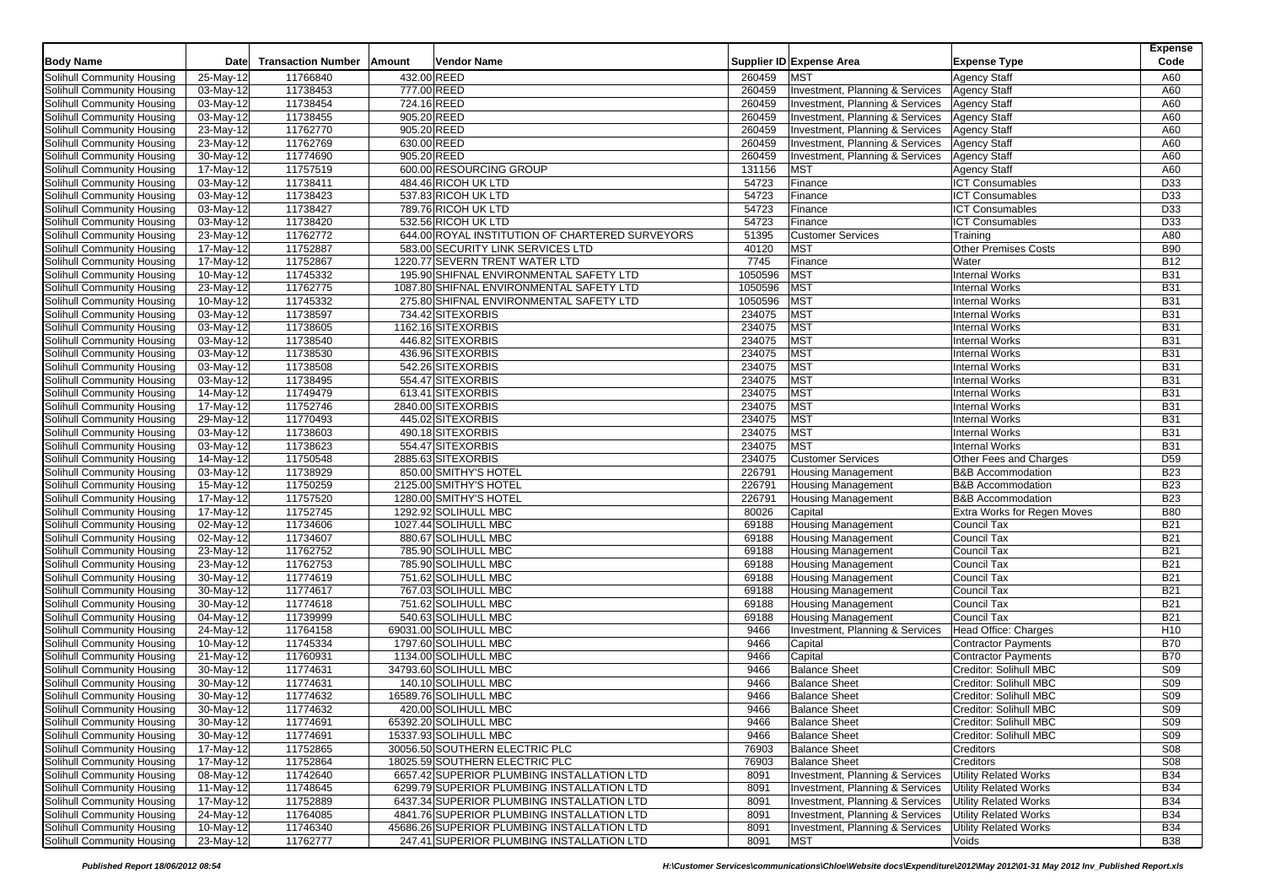|                            |                         |                           |                                                 |         |                                 |                              | Expense         |
|----------------------------|-------------------------|---------------------------|-------------------------------------------------|---------|---------------------------------|------------------------------|-----------------|
| <b>Body Name</b>           | Date                    | <b>Transaction Number</b> | <b>Vendor Name</b><br>Amount                    |         | Supplier ID Expense Area        | <b>Expense Type</b>          | Code            |
| Solihull Community Housing | 25-May-12               | 11766840                  | 432.00 REED                                     | 260459  | <b>MST</b>                      | <b>Agency Staff</b>          | A60             |
| Solihull Community Housing | 03-May-12               | 11738453                  | 777.00 REED                                     | 260459  | Investment, Planning & Services | <b>Agency Staff</b>          | A60             |
| Solihull Community Housing | 03-May-12               | 11738454                  | 724.16 REED                                     | 260459  | Investment, Planning & Services | <b>Agency Staff</b>          | A60             |
| Solihull Community Housing | 03-May-12               | 11738455                  | 905.20 REED                                     | 260459  | Investment, Planning & Services | <b>Agency Staff</b>          | A60             |
| Solihull Community Housing | 23-May-12               | 11762770                  | 905.20 REED                                     | 260459  | Investment, Planning & Services | <b>Agency Staff</b>          | A60             |
| Solihull Community Housing | 23-May-12               | 11762769                  | 630.00 REED                                     | 260459  | Investment, Planning & Services | <b>Agency Staff</b>          | A60             |
| Solihull Community Housing | $30-May-12$             | 11774690                  | 905.20 REED                                     | 260459  | Investment, Planning & Services | <b>Agency Staff</b>          | A60             |
| Solihull Community Housing | $17-May-12$             | 11757519                  | 600.00 RESOURCING GROUP                         | 131156  | <b>MST</b>                      | <b>Agency Staff</b>          | A60             |
| Solihull Community Housing | $\overline{03-M}$ ay-12 | 11738411                  | 484.46 RICOH UK LTD                             | 54723   | Finance                         | <b>ICT Consumables</b>       | D33             |
| Solihull Community Housing |                         | 11738423                  | 537.83 RICOH UK LTD                             |         |                                 |                              |                 |
|                            | 03-May-12               |                           |                                                 | 54723   | Finance                         | <b>ICT Consumables</b>       | D33             |
| Solihull Community Housing | 03-May-12               | 11738427                  | 789.76 RICOH UK LTD                             | 54723   | Finance                         | <b>ICT Consumables</b>       | D33             |
| Solihull Community Housing | 03-May-12               | 11738420                  | 532.56 RICOH UK LTD                             | 54723   | Finance                         | <b>ICT Consumables</b>       | D33             |
| Solihull Community Housing | 23-May-12               | 11762772                  | 644.00 ROYAL INSTITUTION OF CHARTERED SURVEYORS | 51395   | <b>Customer Services</b>        | Training                     | A80             |
| Solihull Community Housing | 17-May-12               | 11752887                  | 583.00 SECURITY LINK SERVICES LTD               | 40120   | <b>MST</b>                      | <b>Other Premises Costs</b>  | <b>B90</b>      |
| Solihull Community Housing | 17-May-12               | 11752867                  | 1220.77 SEVERN TRENT WATER LTD                  | 7745    | Finance                         | Water                        | <b>B12</b>      |
| Solihull Community Housing | 10-May-12               | 11745332                  | 195.90 SHIFNAL ENVIRONMENTAL SAFETY LTD         | 1050596 | <b>MST</b>                      | <b>Internal Works</b>        | <b>B31</b>      |
| Solihull Community Housing | 23-May-12               | 11762775                  | 1087.80 SHIFNAL ENVIRONMENTAL SAFETY LTD        | 1050596 | <b>MST</b>                      | <b>Internal Works</b>        | <b>B31</b>      |
| Solihull Community Housing | 10-May-12               | 11745332                  | 275.80 SHIFNAL ENVIRONMENTAL SAFETY LTD         | 1050596 | <b>MST</b>                      | <b>Internal Works</b>        | <b>B31</b>      |
| Solihull Community Housing | 03-May-12               | 11738597                  | 734.42 SITEXORBIS                               | 234075  | <b>MST</b>                      | <b>Internal Works</b>        | <b>B31</b>      |
| Solihull Community Housing | 03-May-12               | 11738605                  | 1162.16 SITEXORBIS                              | 234075  | <b>MST</b>                      | <b>Internal Works</b>        | <b>B31</b>      |
| Solihull Community Housing | 03-May-12               | 11738540                  | 446.82 SITEXORBIS                               | 234075  | <b>MST</b>                      | <b>Internal Works</b>        | <b>B31</b>      |
| Solihull Community Housing | 03-May-12               | 11738530                  | 436.96 SITEXORBIS                               | 234075  | <b>MST</b>                      | <b>Internal Works</b>        | <b>B31</b>      |
| Solihull Community Housing | 03-May-12               | 11738508                  | 542.26 SITEXORBIS                               | 234075  | <b>MST</b>                      | <b>Internal Works</b>        | <b>B31</b>      |
| Solihull Community Housing | 03-May-12               | 11738495                  | 554.47 SITEXORBIS                               | 234075  | <b>MST</b>                      | <b>Internal Works</b>        | <b>B31</b>      |
| Solihull Community Housing | 14-May-12               | 11749479                  | 613.41 SITEXORBIS                               | 234075  | <b>MST</b>                      | <b>Internal Works</b>        | <b>B31</b>      |
| Solihull Community Housing | 17-May-12               | 11752746                  | 2840.00 SITEXORBIS                              | 234075  | <b>MST</b>                      | <b>Internal Works</b>        | <b>B31</b>      |
| Solihull Community Housing | 29-May-12               | 11770493                  | 445.02 SITEXORBIS                               | 234075  | <b>MST</b>                      | <b>Internal Works</b>        | <b>B31</b>      |
| Solihull Community Housing | 03-May-12               | 11738603                  | 490.18 SITEXORBIS                               | 234075  | <b>MST</b>                      | <b>Internal Works</b>        | <b>B31</b>      |
| Solihull Community Housing | 03-May-12               | 11738623                  | 554.47 SITEXORBIS                               | 234075  | <b>MST</b>                      | <b>Internal Works</b>        | <b>B31</b>      |
| Solihull Community Housing | 14-May-12               | 11750548                  | 2885.63 SITEXORBIS                              | 234075  | <b>Customer Services</b>        | Other Fees and Charges       | D <sub>59</sub> |
| Solihull Community Housing | 03-May-12               | 11738929                  | 850.00 SMITHY'S HOTEL                           | 226791  | <b>Housing Management</b>       | <b>B&amp;B Accommodation</b> | <b>B23</b>      |
| Solihull Community Housing | 15-May-12               | 11750259                  | 2125.00 SMITHY'S HOTEL                          | 226791  | <b>Housing Management</b>       | <b>B&amp;B Accommodation</b> | <b>B23</b>      |
| Solihull Community Housing | 17-May-12               | 11757520                  | 1280.00 SMITHY'S HOTEL                          | 226791  | <b>Housing Management</b>       | <b>B&amp;B Accommodation</b> | <b>B23</b>      |
| Solihull Community Housing | 17-May-12               | 11752745                  | 1292.92 SOLIHULL MBC                            | 80026   | Capital                         | Extra Works for Regen Moves  | <b>B80</b>      |
| Solihull Community Housing | 02-May-12               | 11734606                  | 1027.44 SOLIHULL MBC                            | 69188   | <b>Housing Management</b>       | Council Tax                  | <b>B21</b>      |
| Solihull Community Housing | 02-May-12               | 11734607                  | 880.67 SOLIHULL MBC                             | 69188   | <b>Housing Management</b>       | Council Tax                  | <b>B21</b>      |
| Solihull Community Housing | 23-May-12               | 11762752                  | 785.90 SOLIHULL MBC                             | 69188   | Housing Management              | <b>Council Tax</b>           | <b>B21</b>      |
| Solihull Community Housing | 23-May-12               | 11762753                  | 785.90 SOLIHULL MBC                             | 69188   | <b>Housing Management</b>       | <b>Council Tax</b>           | <b>B21</b>      |
| Solihull Community Housing | 30-May-12               | 11774619                  | 751.62 SOLIHULL MBC                             | 69188   | <b>Housing Management</b>       | Council Tax                  | <b>B21</b>      |
| Solihull Community Housing | 30-May-12               | 11774617                  | 767.03 SOLIHULL MBC                             | 69188   | Housing Management              | Council Tax                  | <b>B21</b>      |
| Solihull Community Housing | 30-May-12               | 11774618                  | 751.62 SOLIHULL MBC                             | 69188   | <b>Housing Management</b>       | Council Tax                  | <b>B21</b>      |
| Solihull Community Housing | 04-May-12               | 11739999                  | 540.63 SOLIHULL MBC                             | 69188   | <b>Housing Management</b>       | <b>Council Tax</b>           | <b>B21</b>      |
| Solihull Community Housing | 24-May-12               | 11764158                  | 69031.00 SOLIHULL MBC                           | 9466    | Investment, Planning & Services | Head Office: Charges         | H <sub>10</sub> |
| Solihull Community Housing | 10-May-12               | 11745334                  | 1797.60 SOLIHULL MBC                            | 9466    | Capital                         | <b>Contractor Payments</b>   | <b>B70</b>      |
| Solihull Community Housing | 21-May-12               | 11760931                  | 1134.00 SOLIHULL MBC                            | 9466    | Capital                         | <b>Contractor Payments</b>   | <b>B70</b>      |
| Solihull Community Housing | $30-May-12$             | 11774631                  | 34793.60 SOLIHULL MBC                           | 9466    | <b>Balance Sheet</b>            | Creditor: Solihull MBC       | S09             |
| Solihull Community Housing | 30-May-12               | 11774631                  | 140.10 SOLIHULL MBC                             | 9466    | <b>Balance Sheet</b>            | Creditor: Solihull MBC       | S09             |
| Solihull Community Housing | 30-May-12               | 11774632                  | 16589.76 SOLIHULL MBC                           | 9466    | <b>Balance Sheet</b>            | Creditor: Solihull MBC       | S <sub>09</sub> |
|                            |                         |                           | 420.00 SOLIHULL MBC                             |         | <b>Balance Sheet</b>            |                              | S09             |
| Solihull Community Housing | 30-May-12               | 11774632                  |                                                 | 9466    |                                 | Creditor: Solihull MBC       | S <sub>09</sub> |
| Solihull Community Housing | 30-May-12               | 11774691                  | 65392.20 SOLIHULL MBC                           | 9466    | <b>Balance Sheet</b>            | Creditor: Solihull MBC       |                 |
| Solihull Community Housing | 30-May-12               | 11774691                  | 15337.93 SOLIHULL MBC                           | 9466    | <b>Balance Sheet</b>            | Creditor: Solihull MBC       | S09             |
| Solihull Community Housing | 17-May-12               | 11752865                  | 30056.50 SOUTHERN ELECTRIC PLC                  | 76903   | <b>Balance Sheet</b>            | Creditors                    | <b>S08</b>      |
| Solihull Community Housing | 17-May-12               | 11752864                  | 18025.59 SOUTHERN ELECTRIC PLC                  | 76903   | <b>Balance Sheet</b>            | Creditors                    | <b>S08</b>      |
| Solihull Community Housing | 08-May-12               | 11742640                  | 6657.42 SUPERIOR PLUMBING INSTALLATION LTD      | 8091    | Investment, Planning & Services | <b>Utility Related Works</b> | <b>B34</b>      |
| Solihull Community Housing | 11-May-12               | 11748645                  | 6299.79 SUPERIOR PLUMBING INSTALLATION LTD      | 8091    | Investment, Planning & Services | <b>Utility Related Works</b> | <b>B34</b>      |
| Solihull Community Housing | 17-May-12               | 11752889                  | 6437.34 SUPERIOR PLUMBING INSTALLATION LTD      | 8091    | Investment, Planning & Services | <b>Utility Related Works</b> | <b>B34</b>      |
| Solihull Community Housing | 24-May-12               | 11764085                  | 4841.76 SUPERIOR PLUMBING INSTALLATION LTD      | 8091    | Investment, Planning & Services | <b>Utility Related Works</b> | <b>B34</b>      |
| Solihull Community Housing | 10-May-12               | 11746340                  | 45686.26 SUPERIOR PLUMBING INSTALLATION LTD     | 8091    | Investment, Planning & Services | <b>Utility Related Works</b> | <b>B34</b>      |
| Solihull Community Housing | 23-May-12               | 11762777                  | 247.41 SUPERIOR PLUMBING INSTALLATION LTD       | 8091    | <b>MST</b>                      | Voids                        | <b>B38</b>      |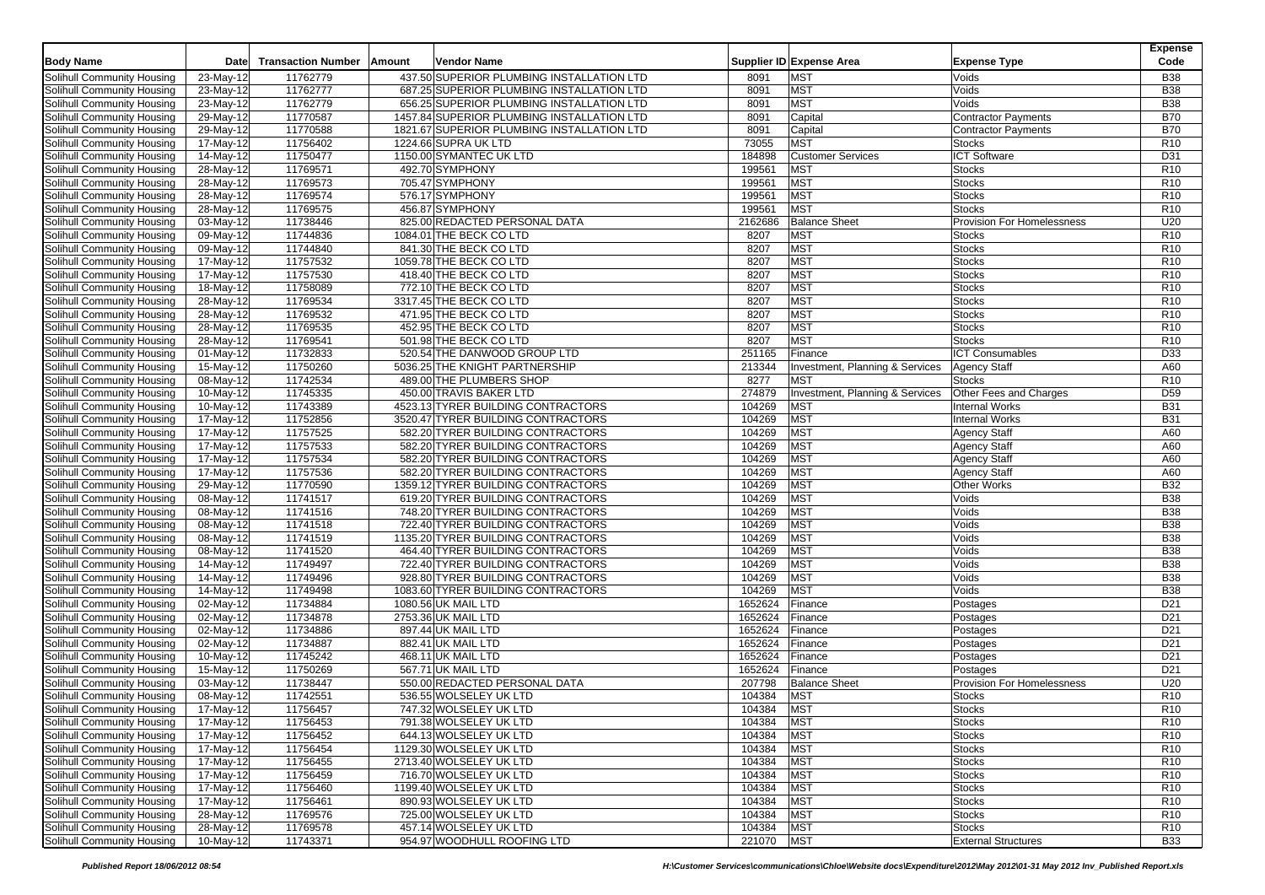|                            |                         |                           |        |                                            |         |                                            |                                   | <b>Expense</b>  |
|----------------------------|-------------------------|---------------------------|--------|--------------------------------------------|---------|--------------------------------------------|-----------------------------------|-----------------|
| <b>Body Name</b>           | Date                    | <b>Transaction Number</b> | Amount | Vendor Name                                |         | Supplier ID Expense Area                   | <b>Expense Type</b>               | Code            |
| Solihull Community Housing | 23-May-12               | 11762779                  |        | 437.50 SUPERIOR PLUMBING INSTALLATION LTD  | 8091    | <b>MST</b>                                 | Voids                             | <b>B38</b>      |
| Solihull Community Housing | 23-May-12               | 11762777                  |        | 687.25 SUPERIOR PLUMBING INSTALLATION LTD  | 8091    | <b>MST</b>                                 | Voids                             | <b>B38</b>      |
| Solihull Community Housing | 23-May-12               | 11762779                  |        | 656.25 SUPERIOR PLUMBING INSTALLATION LTD  | 8091    | <b>MST</b>                                 | Voids                             | <b>B38</b>      |
| Solihull Community Housing | 29-May-12               | 11770587                  |        | 1457.84 SUPERIOR PLUMBING INSTALLATION LTD | 8091    | Capital                                    | <b>Contractor Payments</b>        | <b>B70</b>      |
| Solihull Community Housing | 29-May-12               | 11770588                  |        | 1821.67 SUPERIOR PLUMBING INSTALLATION LTD | 8091    | Capital                                    | <b>Contractor Payments</b>        | <b>B70</b>      |
| Solihull Community Housing | 17-May-12               | 11756402                  |        | 1224.66 SUPRA UK LTD                       | 73055   | <b>MST</b>                                 | <b>Stocks</b>                     | R <sub>10</sub> |
| Solihull Community Housing | 14-May-12               | 11750477                  |        | 1150.00 SYMANTEC UK LTD                    | 184898  | <b>Customer Services</b>                   | <b>ICT Software</b>               | D31             |
| Solihull Community Housing | 28-May-12               | 11769571                  |        | 492.70 SYMPHONY                            | 199561  | <b>MST</b>                                 | <b>Stocks</b>                     | R <sub>10</sub> |
| Solihull Community Housing | 28-May-12               | 11769573                  |        | 705.47 SYMPHONY                            | 199561  | <b>MST</b>                                 | <b>Stocks</b>                     | R <sub>10</sub> |
| Solihull Community Housing | 28-May-12               | 11769574                  |        | 576.17 SYMPHONY                            | 199561  | <b>MST</b>                                 | <b>Stocks</b>                     | R <sub>10</sub> |
| Solihull Community Housing | 28-May-12               | 11769575                  |        | 456.87 SYMPHONY                            | 199561  | <b>MST</b>                                 | <b>Stocks</b>                     | R <sub>10</sub> |
| Solihull Community Housing | 03-May-12               | 11738446                  |        | 825.00 REDACTED PERSONAL DATA              | 2162686 | <b>Balance Sheet</b>                       | <b>Provision For Homelessness</b> | U20             |
| Solihull Community Housing | 09-May-12               | 11744836                  |        | 1084.01 THE BECK CO LTD                    | 8207    | <b>MST</b>                                 | <b>Stocks</b>                     | R <sub>10</sub> |
| Solihull Community Housing | 09-May-12               | 11744840                  |        | 841.30 THE BECK CO LTD                     | 8207    | MST                                        | <b>Stocks</b>                     | R <sub>10</sub> |
| Solihull Community Housing | 17-May-12               | 11757532                  |        | 1059.78 THE BECK CO LTD                    | 8207    | <b>MST</b>                                 | <b>Stocks</b>                     | R <sub>10</sub> |
| Solihull Community Housing | 17-May-12               | 11757530                  |        | 418.40 THE BECK CO LTD                     | 8207    | <b>MST</b>                                 | <b>Stocks</b>                     | R <sub>10</sub> |
| Solihull Community Housing | 18-May-12               | 11758089                  |        | 772.10 THE BECK CO LTD                     | 8207    | <b>MST</b>                                 | <b>Stocks</b>                     | R <sub>10</sub> |
| Solihull Community Housing | $28-May-12$             | 11769534                  |        | 3317.45 THE BECK CO LTD                    | 8207    | MST                                        | <b>Stocks</b>                     | R <sub>10</sub> |
| Solihull Community Housing | 28-May-12               | 11769532                  |        | 471.95 THE BECK CO LTD                     | 8207    | <b>MST</b>                                 | <b>Stocks</b>                     | R <sub>10</sub> |
| Solihull Community Housing | 28-May-12               | 11769535                  |        | 452.95 THE BECK CO LTD                     | 8207    | MST                                        | <b>Stocks</b>                     | R <sub>10</sub> |
| Solihull Community Housing | 28-May-12               | 11769541                  |        | 501.98 THE BECK CO LTD                     | 8207    | <b>MST</b>                                 | <b>Stocks</b>                     | R <sub>10</sub> |
| Solihull Community Housing | 01-May-12               | 11732833                  |        | 520.54 THE DANWOOD GROUP LTD               | 251165  | Finance                                    | <b>ICT Consumables</b>            | D33             |
| Solihull Community Housing | 15-May-12               | 11750260                  |        | 5036.25 THE KNIGHT PARTNERSHIP             | 213344  | <b>Investment, Planning &amp; Services</b> | <b>Agency Staff</b>               | A60             |
| Solihull Community Housing | 08-May-12               | 11742534                  |        | 489.00 THE PLUMBERS SHOP                   | 8277    | <b>MST</b>                                 | <b>Stocks</b>                     | R <sub>10</sub> |
| Solihull Community Housing | 10-May-12               | 11745335                  |        | 450.00 TRAVIS BAKER LTD                    | 274879  | Investment, Planning & Services            | Other Fees and Charges            | D <sub>59</sub> |
| Solihull Community Housing | 10-May-12               | 11743389                  |        | 4523.13 TYRER BUILDING CONTRACTORS         | 104269  | <b>MST</b>                                 | <b>Internal Works</b>             | <b>B31</b>      |
| Solihull Community Housing | 17-May-12               | 11752856                  |        | 3520.47 TYRER BUILDING CONTRACTORS         | 104269  | <b>MST</b>                                 | <b>Internal Works</b>             | <b>B31</b>      |
| Solihull Community Housing | $\overline{17-M}$ ay-12 | 11757525                  |        | 582.20 TYRER BUILDING CONTRACTORS          | 104269  | <b>MST</b>                                 | <b>Agency Staff</b>               | A60             |
| Solihull Community Housing | 17-May-12               | 11757533                  |        | 582.20 TYRER BUILDING CONTRACTORS          | 104269  | <b>MST</b>                                 | <b>Agency Staff</b>               | A60             |
| Solihull Community Housing | 17-May-12               | 11757534                  |        | 582.20 TYRER BUILDING CONTRACTORS          | 104269  | <b>MST</b>                                 | <b>Agency Staff</b>               | A60             |
| Solihull Community Housing | 17-May-12               | 11757536                  |        | 582.20 TYRER BUILDING CONTRACTORS          | 104269  | <b>MST</b>                                 | <b>Agency Staff</b>               | A60             |
| Solihull Community Housing | $29-May-12$             | 11770590                  |        | 1359.12 TYRER BUILDING CONTRACTORS         | 104269  | <b>MST</b>                                 | <b>Other Works</b>                | <b>B32</b>      |
| Solihull Community Housing | 08-May-12               | 11741517                  |        | 619.20 TYRER BUILDING CONTRACTORS          | 104269  | <b>MST</b>                                 | Voids                             | <b>B38</b>      |
| Solihull Community Housing | 08-May-12               | 11741516                  |        | 748.20 TYRER BUILDING CONTRACTORS          | 104269  | <b>MST</b>                                 | Voids                             | <b>B38</b>      |
| Solihull Community Housing | 08-May-12               | 11741518                  |        | 722.40 TYRER BUILDING CONTRACTORS          | 104269  | <b>MST</b>                                 | Voids                             | <b>B38</b>      |
| Solihull Community Housing | 08-May-12               | 11741519                  |        | 1135.20 TYRER BUILDING CONTRACTORS         | 104269  | MST                                        | Voids                             | <b>B38</b>      |
| Solihull Community Housing | 08-May-12               | 11741520                  |        | 464.40 TYRER BUILDING CONTRACTORS          | 104269  | <b>MST</b>                                 | Voids                             | <b>B38</b>      |
| Solihull Community Housing | 14-May-12               | 11749497                  |        | 722.40 TYRER BUILDING CONTRACTORS          | 104269  | <b>MST</b>                                 | Voids                             | <b>B38</b>      |
| Solihull Community Housing | 14-May-12               | 11749496                  |        | 928.80 TYRER BUILDING CONTRACTORS          | 104269  | <b>MST</b>                                 | Voids                             | <b>B38</b>      |
| Solihull Community Housing | 14-May-12               | 11749498                  |        | 1083.60 TYRER BUILDING CONTRACTORS         | 104269  | <b>MST</b>                                 | Voids                             | <b>B38</b>      |
| Solihull Community Housing | $02-May-12$             | 11734884                  |        | 1080.56 UK MAIL LTD                        | 1652624 | Finance                                    | Postages                          | D <sub>21</sub> |
| Solihull Community Housing | 02-May-12               | 11734878                  |        | 2753.36 UK MAIL LTD                        | 1652624 | Finance                                    | Postages                          | D <sub>21</sub> |
| Solihull Community Housing | 02-May-12               | 11734886                  |        | 897.44 UK MAIL LTD                         | 1652624 | Finance                                    | Postages                          | D <sub>21</sub> |
| Solihull Community Housing | 02-May-12               | 11734887                  |        | 882.41 UK MAIL LTD                         | 1652624 | Finance                                    | Postages                          | D <sub>21</sub> |
| Solihull Community Housing | 10-May-12               | 11745242                  |        | 468.11 UK MAIL LTD                         | 1652624 | Finance                                    | Postages                          | D <sub>21</sub> |
| Solihull Community Housing | 15-May-12               | 11750269                  |        | 567.71 UK MAIL LTD                         | 1652624 | Finance                                    | Postages                          | D <sub>21</sub> |
| Solihull Community Housing | 03-May-12               | 11738447                  |        | 550.00 REDACTED PERSONAL DATA              | 207798  | <b>Balance Sheet</b>                       | Provision For Homelessness        | U20             |
| Solihull Community Housing | 08-May-12               | 11742551                  |        | 536.55 WOLSELEY UK LTD                     | 104384  | <b>MST</b>                                 | <b>Stocks</b>                     | R <sub>10</sub> |
| Solihull Community Housing | 17-May-12               | 11756457                  |        | 747.32 WOLSELEY UK LTD                     | 104384  | <b>MST</b>                                 | <b>Stocks</b>                     | R <sub>10</sub> |
| Solihull Community Housing | 17-May-12               | 11756453                  |        | 791.38 WOLSELEY UK LTD                     | 104384  | MST                                        | <b>Stocks</b>                     | R <sub>10</sub> |
| Solihull Community Housing | 17-May-12               | 11756452                  |        | 644.13 WOLSELEY UK LTD                     | 104384  | <b>MST</b>                                 | <b>Stocks</b>                     | R <sub>10</sub> |
| Solihull Community Housing | 17-May-12               | 11756454                  |        | 1129.30 WOLSELEY UK LTD                    | 104384  | <b>MST</b>                                 | <b>Stocks</b>                     | R <sub>10</sub> |
| Solihull Community Housing | 17-May-12               | 11756455                  |        | 2713.40 WOLSELEY UK LTD                    | 104384  | MST                                        | <b>Stocks</b>                     | R <sub>10</sub> |
| Solihull Community Housing | $\overline{17-M}$ ay-12 | 11756459                  |        | 716.70 WOLSELEY UK LTD                     | 104384  | <b>MST</b>                                 | <b>Stocks</b>                     | R <sub>10</sub> |
| Solihull Community Housing | 17-May-12               | 11756460                  |        | 1199.40 WOLSELEY UK LTD                    | 104384  | <b>MST</b>                                 | <b>Stocks</b>                     | R <sub>10</sub> |
| Solihull Community Housing | 17-May-12               | 11756461                  |        | 890.93 WOLSELEY UK LTD                     | 104384  | <b>MST</b>                                 | <b>Stocks</b>                     | R <sub>10</sub> |
| Solihull Community Housing | 28-May-12               | 11769576                  |        | 725.00 WOLSELEY UK LTD                     | 104384  | MST                                        | <b>Stocks</b>                     | R <sub>10</sub> |
| Solihull Community Housing | 28-May-12               | 11769578                  |        | 457.14 WOLSELEY UK LTD                     | 104384  | <b>MST</b>                                 | <b>Stocks</b>                     | R <sub>10</sub> |
| Solihull Community Housing | 10-May-12               | 11743371                  |        | 954.97 WOODHULL ROOFING LTD                | 221070  | <b>MST</b>                                 | <b>External Structures</b>        | <b>B33</b>      |